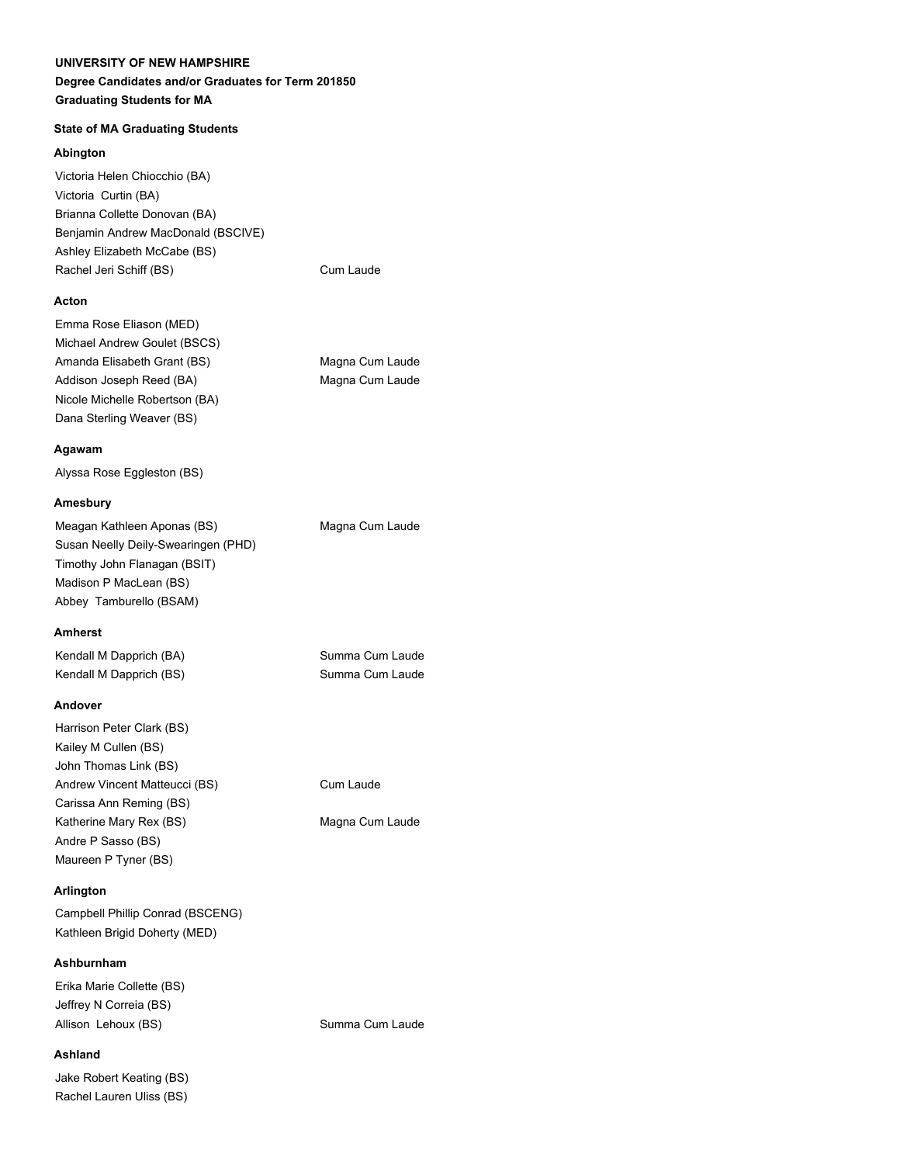# **Degree Candidates and/or Graduates for Term 201850 Graduating Students for MA**

# **State of MA Graduating Students**

### **Abington**

Victoria Helen Chiocchio (BA) Victoria Curtin (BA) Brianna Collette Donovan (BA) Benjamin Andrew MacDonald (BSCIVE) Ashley Elizabeth McCabe (BS) Rachel Jeri Schiff (BS) Cum Laude

# **Acton**

| Emma Rose Eliason (MED)        |                 |
|--------------------------------|-----------------|
| Michael Andrew Goulet (BSCS)   |                 |
| Amanda Elisabeth Grant (BS)    | Magna Cum Laude |
| Addison Joseph Reed (BA)       | Magna Cum Laude |
| Nicole Michelle Robertson (BA) |                 |
| Dana Sterling Weaver (BS)      |                 |

#### **Agawam**

Alyssa Rose Eggleston (BS)

#### **Amesbury**

| Meagan Kathleen Aponas (BS)         |  |
|-------------------------------------|--|
| Susan Neelly Deily-Swearingen (PHD) |  |
| Timothy John Flanagan (BSIT)        |  |
| Madison P MacLean (BS)              |  |
| Abbey Tamburello (BSAM)             |  |

#### **Amherst**

Kendall M Dapprich (BA) Summa Cum Laude Kendall M Dapprich (BS) Summa Cum Laude

#### **Andover**

| Harrison Peter Clark (BS)     |  |
|-------------------------------|--|
| Kailey M Cullen (BS)          |  |
| John Thomas Link (BS)         |  |
| Andrew Vincent Matteucci (BS) |  |
| Carissa Ann Reming (BS)       |  |
| Katherine Mary Rex (BS)       |  |
| Andre P Sasso (BS)            |  |
| Maureen P Tyner (BS)          |  |

### **Arlington**

Campbell Phillip Conrad (BSCENG) Kathleen Brigid Doherty (MED)

# **Ashburnham**

Erika Marie Collette (BS) Jeffrey N Correia (BS) Allison Lehoux (BS) Summa Cum Laude

#### **Ashland**

Jake Robert Keating (BS) Rachel Lauren Uliss (BS)

Magna Cum Laude

Cum Laude

Magna Cum Laude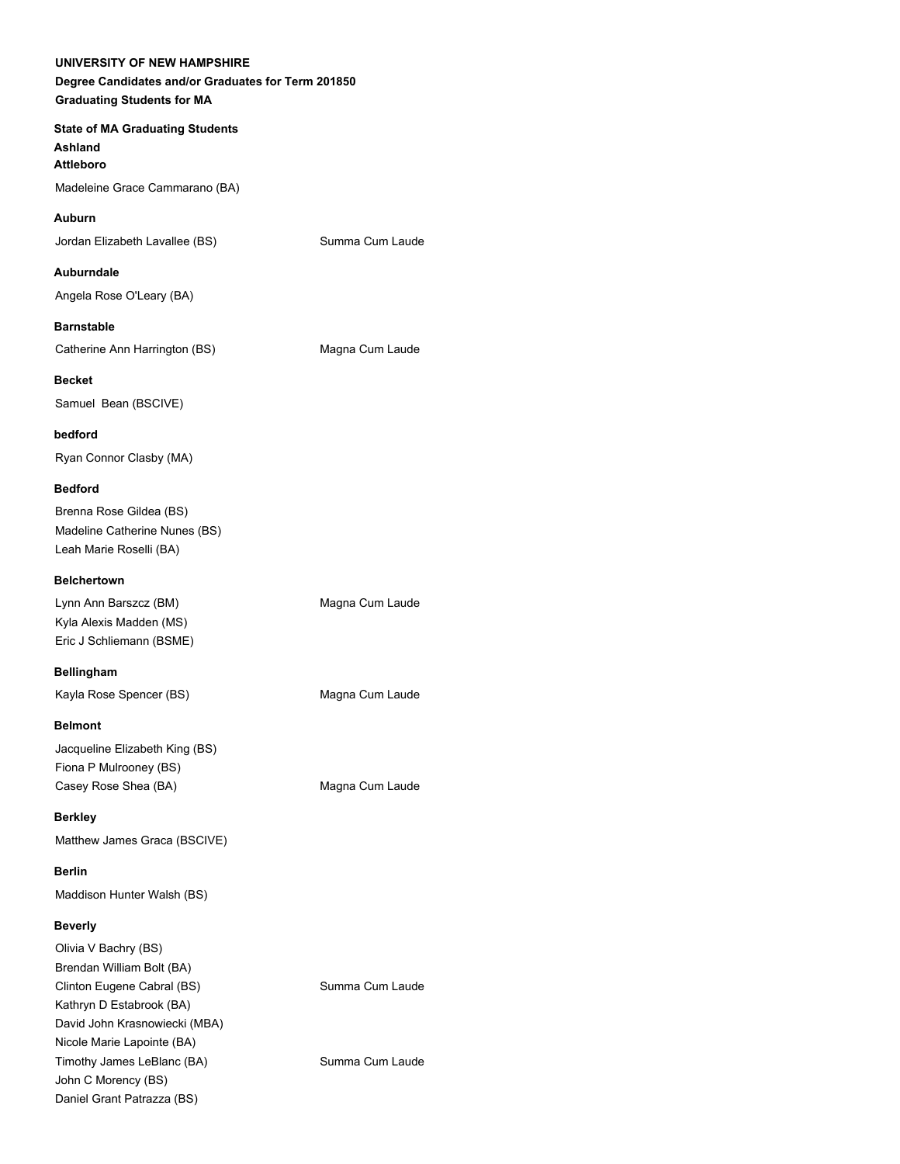**State of MA Graduating Students Ashland Attleboro** Madeleine Grace Cammarano (BA)

Jordan Elizabeth Lavallee (BS) Summa Cum Laude

**Auburndale**

Angela Rose O'Leary (BA)

**Barnstable**

**Auburn**

Catherine Ann Harrington (BS) Magna Cum Laude

**Becket** Samuel Bean (BSCIVE)

**bedford** Ryan Connor Clasby (MA)

#### **Bedford**

Brenna Rose Gildea (BS) Madeline Catherine Nunes (BS) Leah Marie Roselli (BA)

#### **Belchertown**

Lynn Ann Barszcz (BM) Magna Cum Laude Kyla Alexis Madden (MS) Eric J Schliemann (BSME)

**Bellingham** Kayla Rose Spencer (BS) Magna Cum Laude

**Belmont**

Jacqueline Elizabeth King (BS) Fiona P Mulrooney (BS) Casey Rose Shea (BA) Magna Cum Laude

**Berkley** Matthew James Graca (BSCIVE)

**Berlin** Maddison Hunter Walsh (BS)

# **Beverly**

Olivia V Bachry (BS) Brendan William Bolt (BA) Clinton Eugene Cabral (BS) Summa Cum Laude Kathryn D Estabrook (BA) David John Krasnowiecki (MBA) Nicole Marie Lapointe (BA) Timothy James LeBlanc (BA) Summa Cum Laude John C Morency (BS) Daniel Grant Patrazza (BS)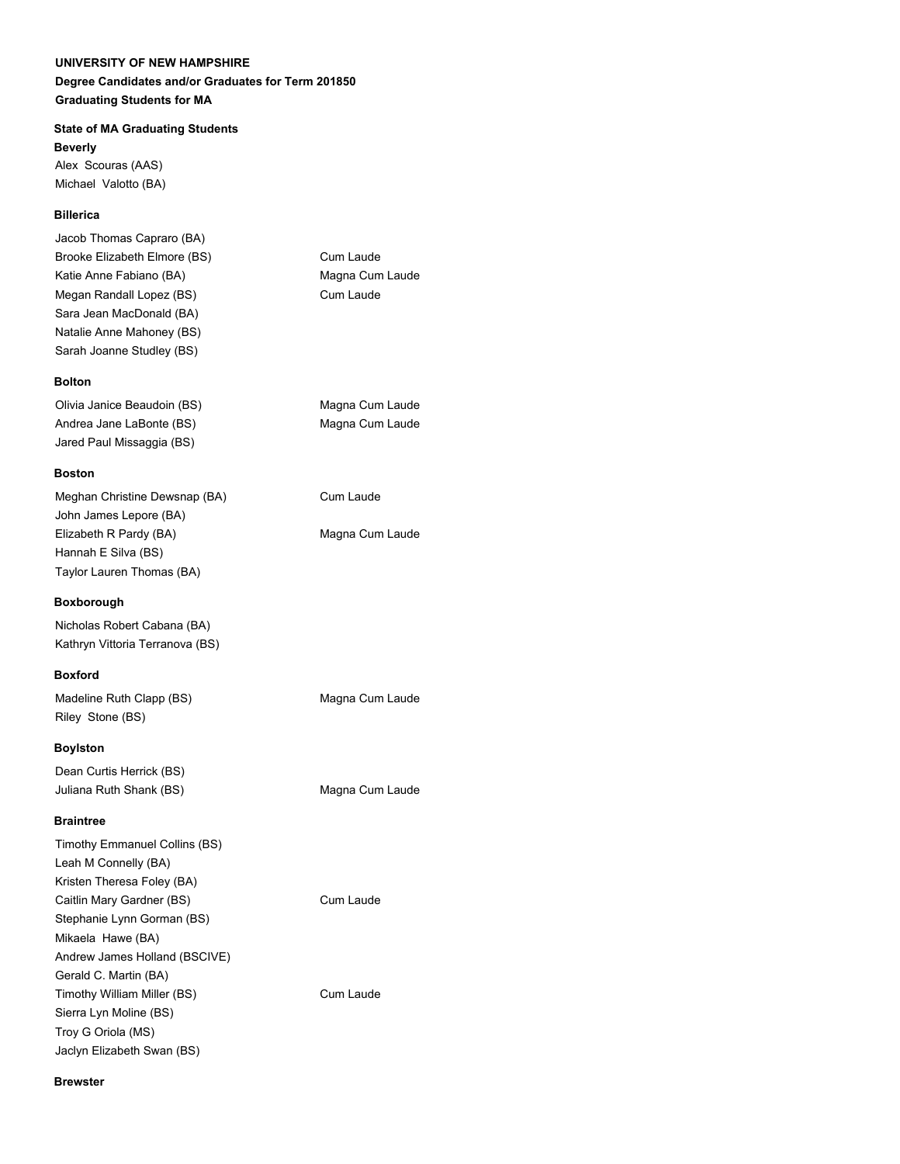# **Degree Candidates and/or Graduates for Term 201850 Graduating Students for MA**

# **State of MA Graduating Students**

**Beverly** Alex Scouras (AAS) Michael Valotto (BA)

# **Billerica**

Jacob Thomas Capraro (BA) Brooke Elizabeth Elmore (BS) Cum Laude Katie Anne Fabiano (BA) Magna Cum Laude Megan Randall Lopez (BS) Cum Laude Sara Jean MacDonald (BA) Natalie Anne Mahoney (BS) Sarah Joanne Studley (BS)

#### **Bolton**

Olivia Janice Beaudoin (BS) Magna Cum Laude Andrea Jane LaBonte (BS) Magna Cum Laude Jared Paul Missaggia (BS)

#### **Boston**

Meghan Christine Dewsnap (BA) Cum Laude John James Lepore (BA) Elizabeth R Pardy (BA) Magna Cum Laude Hannah E Silva (BS) Taylor Lauren Thomas (BA)

#### **Boxborough**

Nicholas Robert Cabana (BA) Kathryn Vittoria Terranova (BS)

#### **Boxford**

Madeline Ruth Clapp (BS) Magna Cum Laude Riley Stone (BS)

#### **Boylston**

Dean Curtis Herrick (BS) Juliana Ruth Shank (BS) Magna Cum Laude

#### **Braintree**

Timothy Emmanuel Collins (BS) Leah M Connelly (BA) Kristen Theresa Foley (BA) Caitlin Mary Gardner (BS) Cum Laude Stephanie Lynn Gorman (BS) Mikaela Hawe (BA) Andrew James Holland (BSCIVE) Gerald C. Martin (BA) Timothy William Miller (BS) Cum Laude Sierra Lyn Moline (BS) Troy G Oriola (MS) Jaclyn Elizabeth Swan (BS)

#### **Brewster**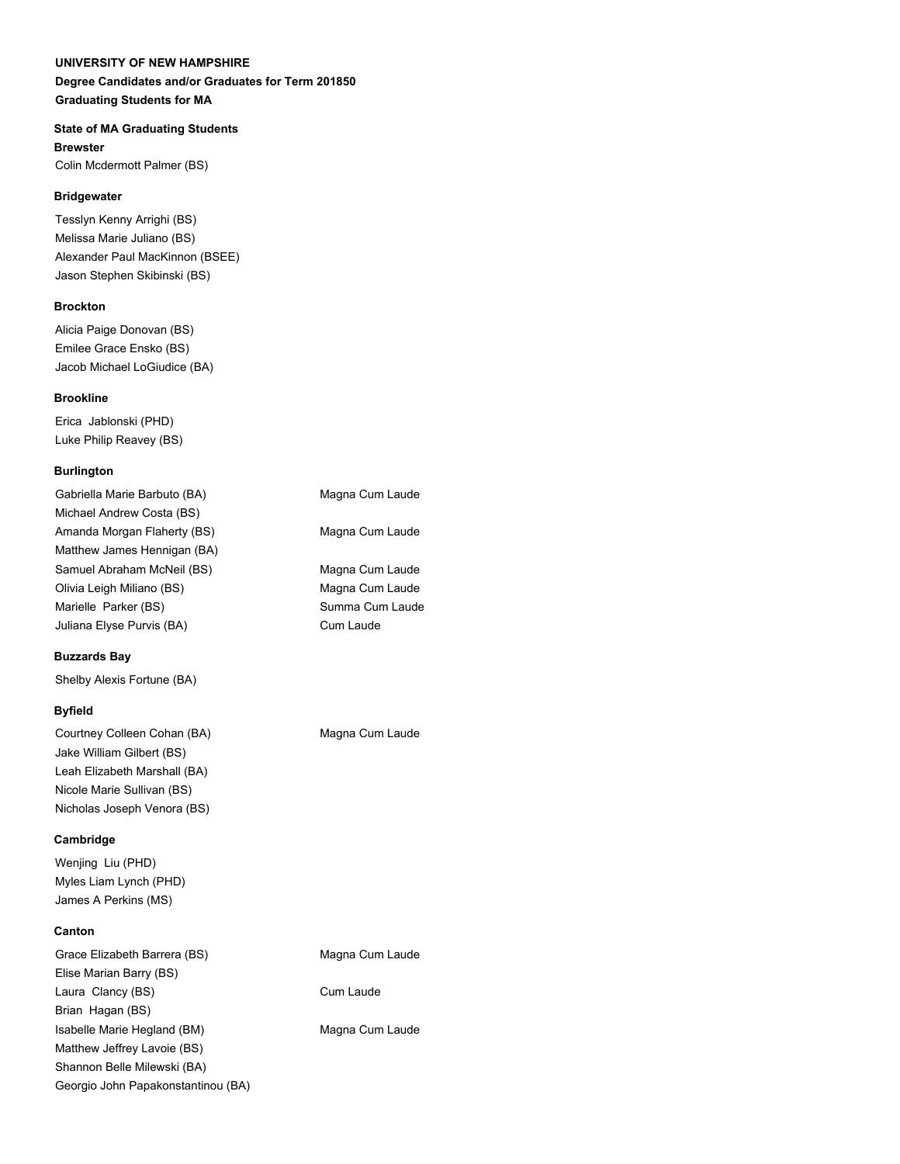### **Degree Candidates and/or Graduates for Term 201850 Graduating Students for MA**

### **State of MA Graduating Students**

**Brewster** Colin Mcdermott Palmer (BS)

#### **Bridgewater**

Tesslyn Kenny Arrighi (BS) Melissa Marie Juliano (BS) Alexander Paul MacKinnon (BSEE) Jason Stephen Skibinski (BS)

#### **Brockton**

Alicia Paige Donovan (BS) Emilee Grace Ensko (BS) Jacob Michael LoGiudice (BA)

#### **Brookline**

Erica Jablonski (PHD) Luke Philip Reavey (BS)

#### **Burlington**

| Gabriella Marie Barbuto (BA) | Magna Cum Laude |
|------------------------------|-----------------|
| Michael Andrew Costa (BS)    |                 |
| Amanda Morgan Flaherty (BS)  | Magna Cum Laude |
| Matthew James Hennigan (BA)  |                 |
| Samuel Abraham McNeil (BS)   | Magna Cum Laude |
| Olivia Leigh Miliano (BS)    | Magna Cum Laude |
| Marielle Parker (BS)         | Summa Cum Laude |
| Juliana Elyse Purvis (BA)    | Cum Laude       |
|                              |                 |

#### **Buzzards Bay**

Shelby Alexis Fortune (BA)

#### **Byfield**

Courtney Colleen Cohan (BA) Magna Cum Laude Jake William Gilbert (BS) Leah Elizabeth Marshall (BA) Nicole Marie Sullivan (BS) Nicholas Joseph Venora (BS)

#### **Cambridge**

Wenjing Liu (PHD) Myles Liam Lynch (PHD) James A Perkins (MS)

#### **Canton**

Grace Elizabeth Barrera (BS) Magna Cum Laude Elise Marian Barry (BS) Laura Clancy (BS) Cum Laude Brian Hagan (BS) Isabelle Marie Hegland (BM) Magna Cum Laude Matthew Jeffrey Lavoie (BS) Shannon Belle Milewski (BA) Georgio John Papakonstantinou (BA)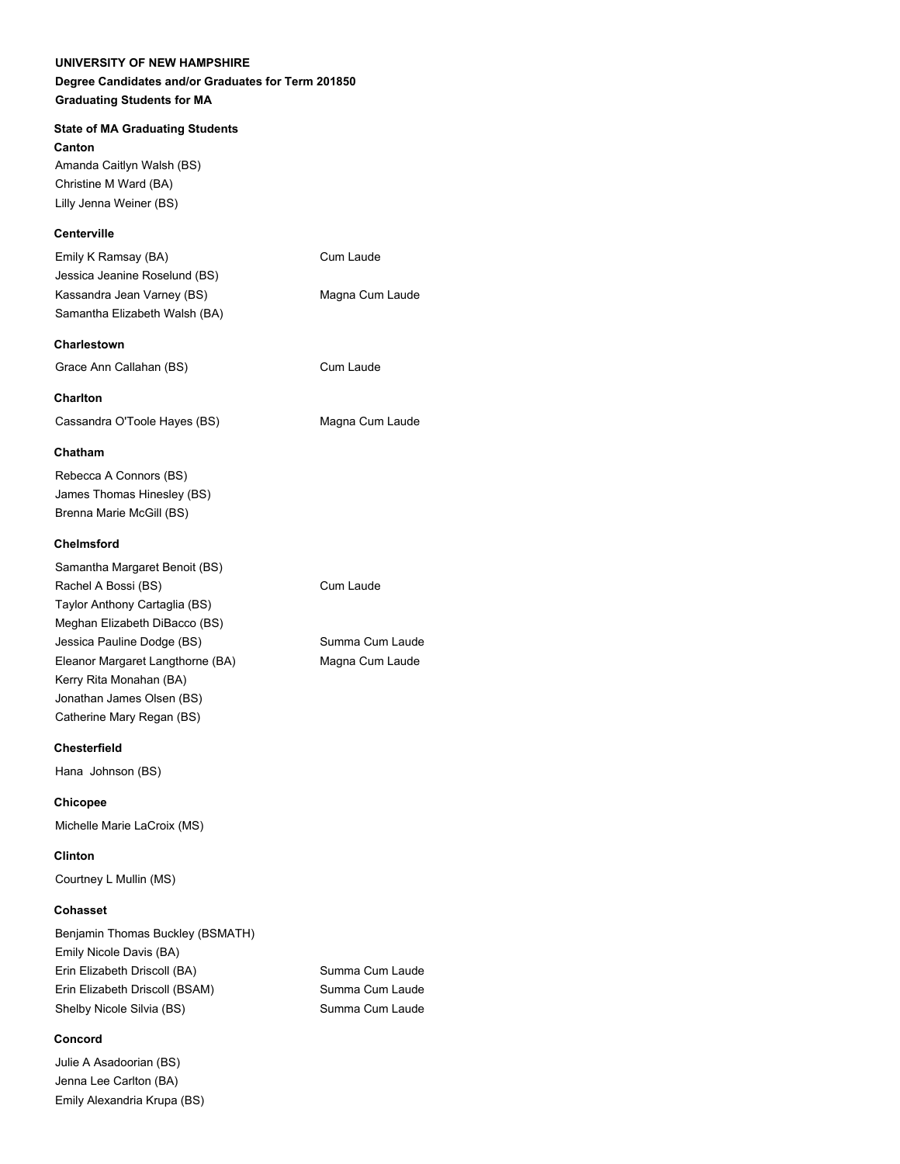# **Degree Candidates and/or Graduates for Term 201850 Graduating Students for MA**

# **State of MA Graduating Students**

**Canton**

Amanda Caitlyn Walsh (BS) Christine M Ward (BA) Lilly Jenna Weiner (BS)

# **Centerville**

| Emily K Ramsay (BA)           | Cum Laude       |
|-------------------------------|-----------------|
| Jessica Jeanine Roselund (BS) |                 |
| Kassandra Jean Varney (BS)    | Magna Cum Laude |
| Samantha Elizabeth Walsh (BA) |                 |

# **Charlestown**

Grace Ann Callahan (BS) Cum Laude

### **Charlton**

Cassandra O'Toole Hayes (BS) Magna Cum Laude

#### **Chatham**

Rebecca A Connors (BS) James Thomas Hinesley (BS) Brenna Marie McGill (BS)

### **Chelmsford**

| Samantha Margaret Benoit (BS)    |
|----------------------------------|
| Rachel A Bossi (BS)              |
| Taylor Anthony Cartaglia (BS)    |
| Meghan Elizabeth DiBacco (BS)    |
| Jessica Pauline Dodge (BS)       |
| Eleanor Margaret Langthorne (BA) |
| Kerry Rita Monahan (BA)          |
| Jonathan James Olsen (BS)        |
| Catherine Mary Regan (BS)        |

#### **Chesterfield**

Hana Johnson (BS)

#### **Chicopee**

Michelle Marie LaCroix (MS)

**Clinton**

Courtney L Mullin (MS)

#### **Cohasset**

| Benjamin Thomas Buckley (BSMATH) |
|----------------------------------|
| Emily Nicole Davis (BA)          |
| Erin Elizabeth Driscoll (BA)     |
| Erin Elizabeth Driscoll (BSAM)   |
| Shelby Nicole Silvia (BS)        |

# **Concord**

Julie A Asadoorian (BS) Jenna Lee Carlton (BA) Emily Alexandria Krupa (BS) Summa Cum Laude Summa Cum Laude Summa Cum Laude

Cum Laude

Summa Cum Laude Magna Cum Laude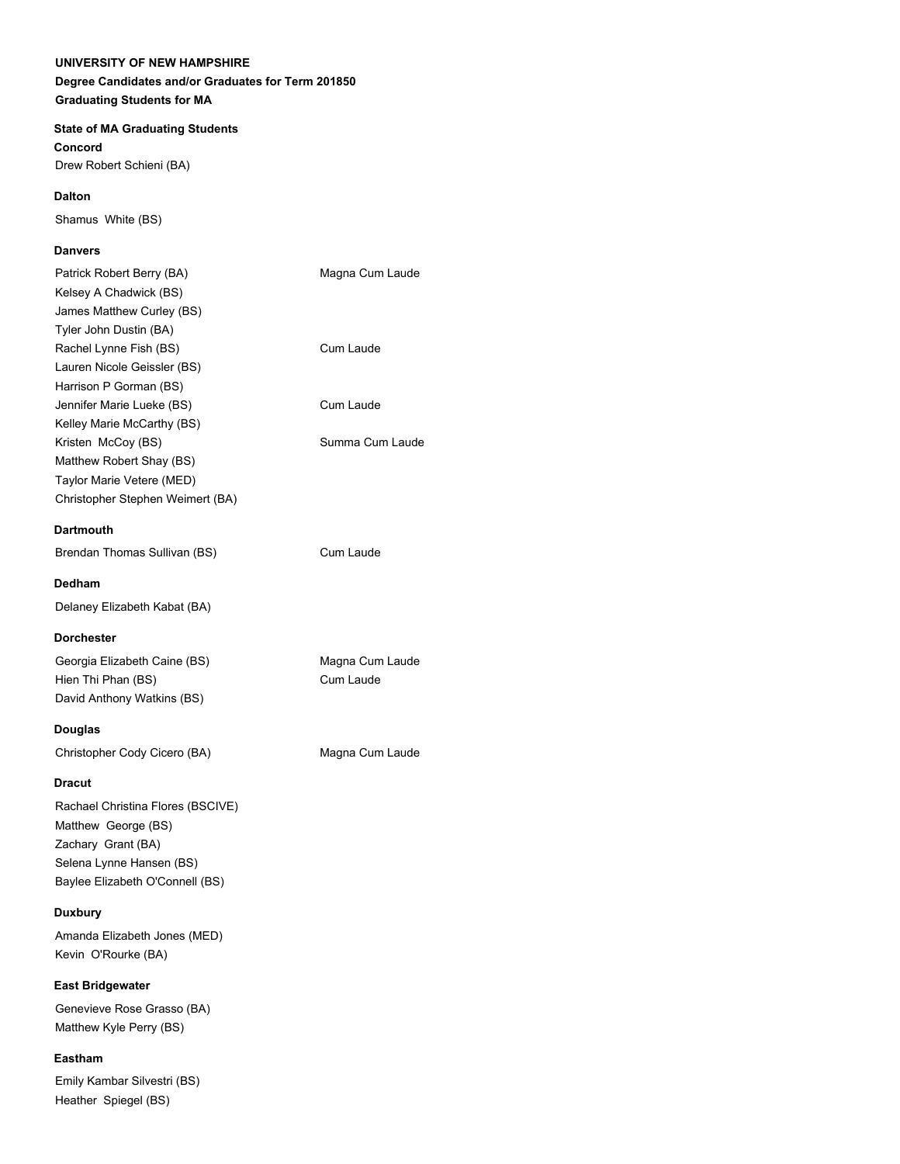# **Degree Candidates and/or Graduates for Term 201850 Graduating Students for MA**

### **State of MA Graduating Students**

**Concord** Drew Robert Schieni (BA)

#### **Dalton**

Shamus White (BS)

### **Danvers**

| Patrick Robert Berry (BA)         | Magna Cum Laude |
|-----------------------------------|-----------------|
| Kelsey A Chadwick (BS)            |                 |
| James Matthew Curley (BS)         |                 |
| Tyler John Dustin (BA)            |                 |
| Rachel Lynne Fish (BS)            | Cum Laude       |
| Lauren Nicole Geissler (BS)       |                 |
| Harrison P Gorman (BS)            |                 |
| Jennifer Marie Lueke (BS)         | Cum Laude       |
| Kelley Marie McCarthy (BS)        |                 |
| Kristen McCoy (BS)                | Summa Cum Laude |
| Matthew Robert Shay (BS)          |                 |
| Taylor Marie Vetere (MED)         |                 |
| Christopher Stephen Weimert (BA)  |                 |
| <b>Dartmouth</b>                  |                 |
| Brendan Thomas Sullivan (BS)      | Cum Laude       |
| Dedham                            |                 |
| Delaney Elizabeth Kabat (BA)      |                 |
| <b>Dorchester</b>                 |                 |
| Georgia Elizabeth Caine (BS)      | Magna Cum Laude |
| Hien Thi Phan (BS)                | Cum Laude       |
| David Anthony Watkins (BS)        |                 |
| Douglas                           |                 |
| Christopher Cody Cicero (BA)      | Magna Cum Laude |
| <b>Dracut</b>                     |                 |
| Rachael Christina Flores (BSCIVE) |                 |
| Matthew George (BS)               |                 |
| Zachary Grant (BA)                |                 |
| Selena Lynne Hansen (BS)          |                 |
| Baylee Elizabeth O'Connell (BS)   |                 |
| Duxbury                           |                 |
| Amanda Elizabeth Jones (MED)      |                 |
|                                   |                 |

**East Bridgewater**

Genevieve Rose Grasso (BA) Matthew Kyle Perry (BS)

#### **Eastham**

Emily Kambar Silvestri (BS) Heather Spiegel (BS)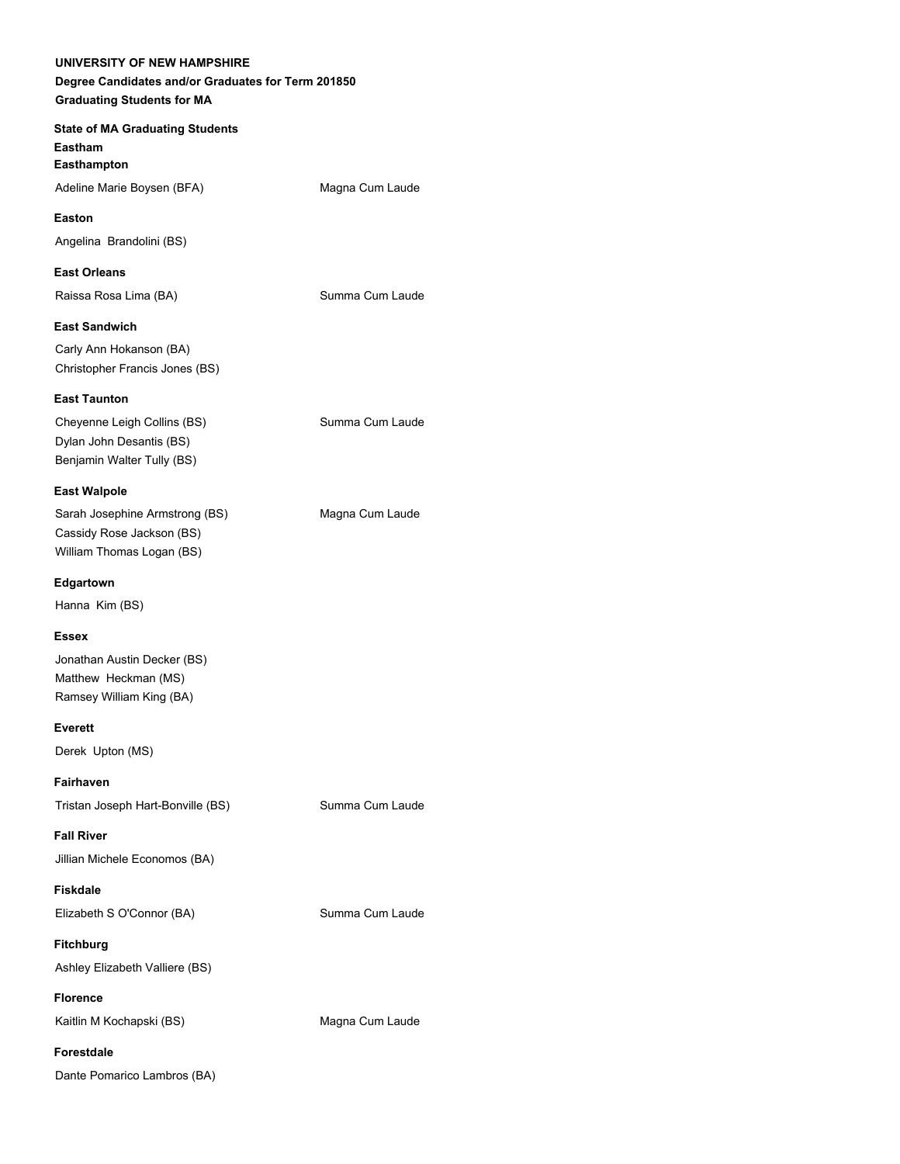**State of MA Graduating Students Eastham Easthampton** Adeline Marie Boysen (BFA) Magna Cum Laude **Easton** Angelina Brandolini (BS) **East Orleans** Raissa Rosa Lima (BA) Summa Cum Laude **East Sandwich** Carly Ann Hokanson (BA) Christopher Francis Jones (BS) **East Taunton** Cheyenne Leigh Collins (BS) Summa Cum Laude Dylan John Desantis (BS) Benjamin Walter Tully (BS) **East Walpole** Sarah Josephine Armstrong (BS) Magna Cum Laude Cassidy Rose Jackson (BS) William Thomas Logan (BS) **Edgartown** Hanna Kim (BS) **Essex** Jonathan Austin Decker (BS) Matthew Heckman (MS) Ramsey William King (BA) **Everett** Derek Upton (MS) **Fairhaven** Tristan Joseph Hart-Bonville (BS) Summa Cum Laude **Fall River** Jillian Michele Economos (BA) **Fiskdale** Elizabeth S O'Connor (BA) Summa Cum Laude **Fitchburg**

Ashley Elizabeth Valliere (BS)

**Florence** Kaitlin M Kochapski (BS) Magna Cum Laude

**Forestdale**

Dante Pomarico Lambros (BA)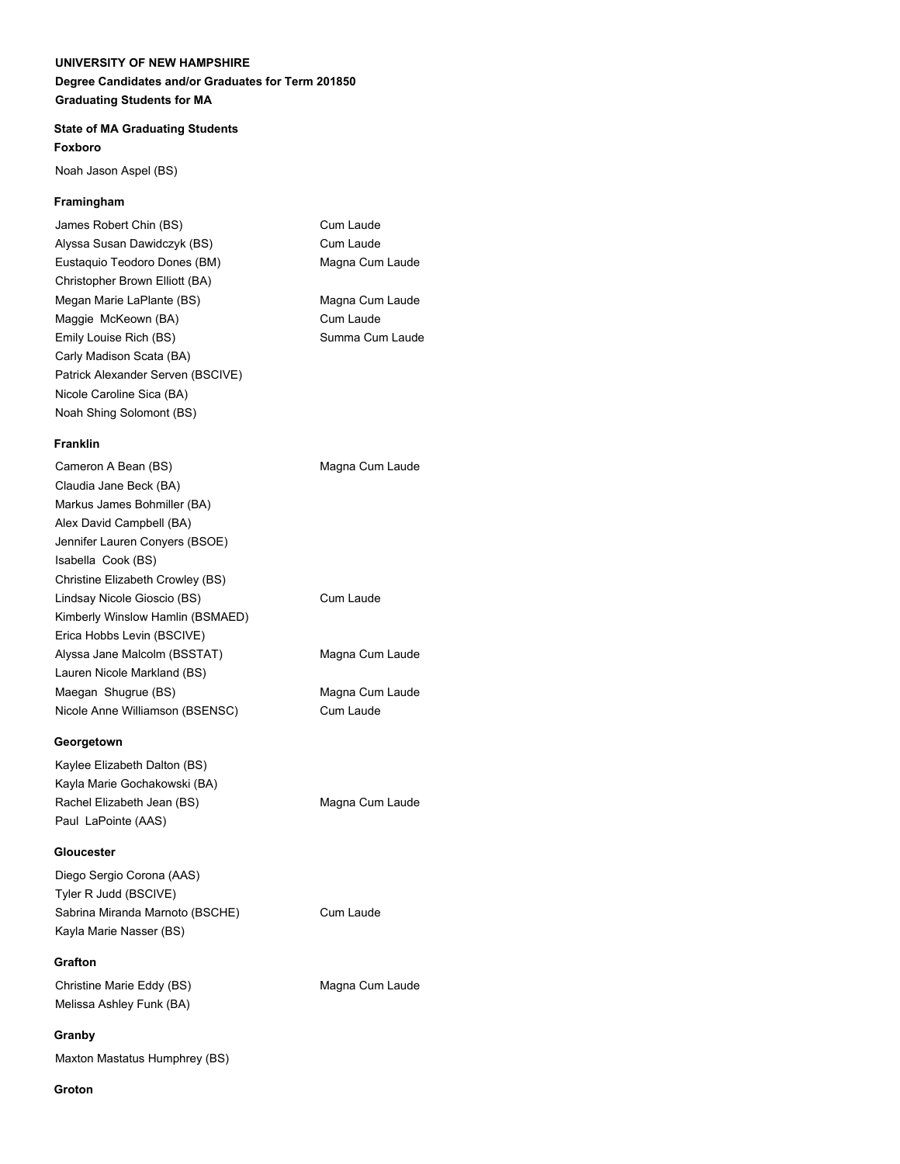Cum Laude Cum Laude Magna Cum Laude

Magna Cum Laude Cum Laude Summa Cum Laude

### **State of MA Graduating Students Foxboro**

Noah Jason Aspel (BS)

### **Framingham**

| James Robert Chin (BS)            |
|-----------------------------------|
| Alyssa Susan Dawidczyk (BS)       |
| Eustaguio Teodoro Dones (BM)      |
| Christopher Brown Elliott (BA)    |
| Megan Marie LaPlante (BS)         |
| Maggie McKeown (BA)               |
| Emily Louise Rich (BS)            |
| Carly Madison Scata (BA)          |
| Patrick Alexander Serven (BSCIVE) |
| Nicole Caroline Sica (BA)         |
| Noah Shing Solomont (BS)          |

### **Franklin**

| Cameron A Bean (BS)              | Magna Cum Laude |
|----------------------------------|-----------------|
| Claudia Jane Beck (BA)           |                 |
| Markus James Bohmiller (BA)      |                 |
| Alex David Campbell (BA)         |                 |
| Jennifer Lauren Conyers (BSOE)   |                 |
| Isabella Cook (BS)               |                 |
| Christine Elizabeth Crowley (BS) |                 |
| Lindsay Nicole Gioscio (BS)      | Cum Laude       |
| Kimberly Winslow Hamlin (BSMAED) |                 |
| Erica Hobbs Levin (BSCIVE)       |                 |
| Alyssa Jane Malcolm (BSSTAT)     | Magna Cum Laude |
| Lauren Nicole Markland (BS)      |                 |
| Maegan Shugrue (BS)              | Magna Cum Laude |
| Nicole Anne Williamson (BSENSC)  | Cum Laude       |
| Georgetown                       |                 |
|                                  |                 |
| Kaylee Elizabeth Dalton (BS)     |                 |
| Kayla Marie Gochakowski (BA)     |                 |

Rachel Elizabeth Jean (BS) Magna Cum Laude Paul LaPointe (AAS)

# **Gloucester**

Diego Sergio Corona (AAS) Tyler R Judd (BSCIVE) Sabrina Miranda Marnoto (BSCHE) Cum Laude Kayla Marie Nasser (BS)

### **Grafton**

Christine Marie Eddy (BS) Magna Cum Laude Melissa Ashley Funk (BA)

### **Granby**

Maxton Mastatus Humphrey (BS)

### **Groton**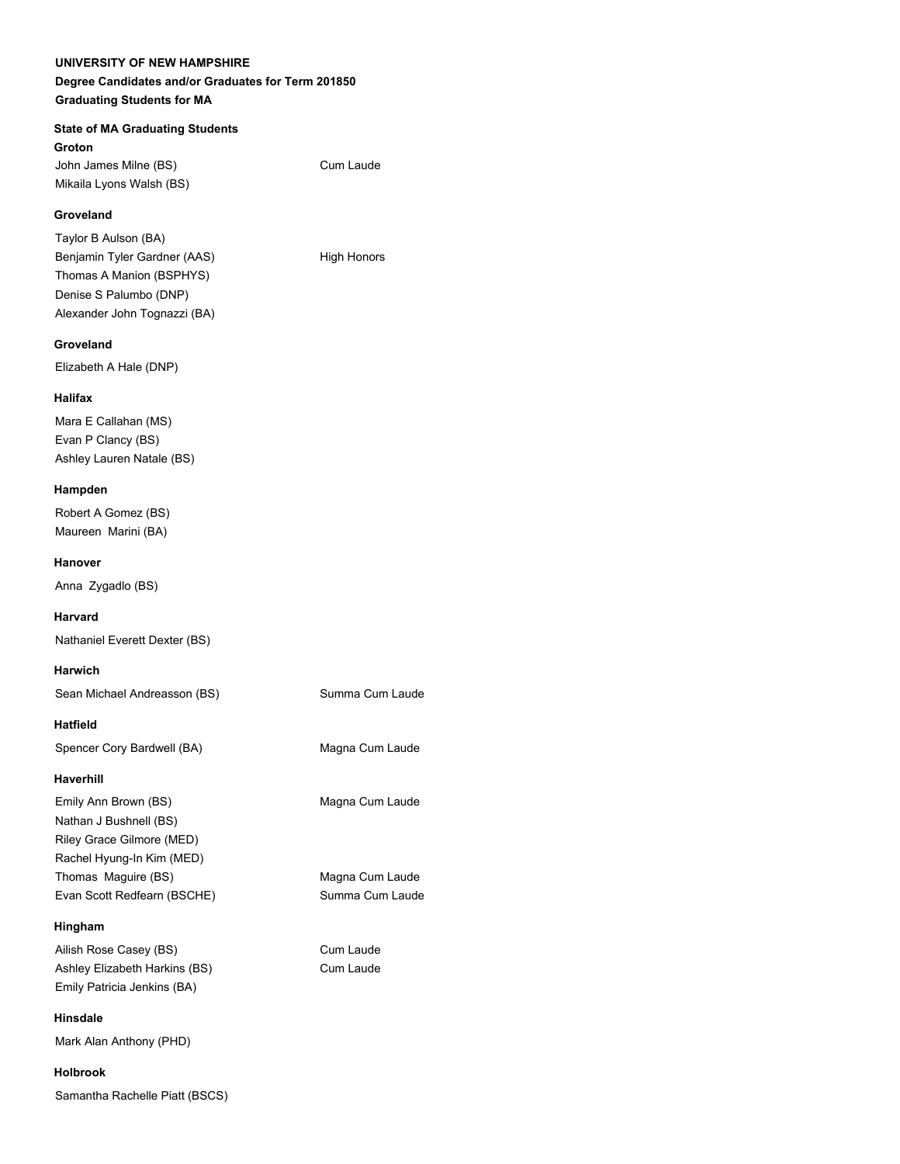### **Degree Candidates and/or Graduates for Term 201850 Graduating Students for MA**

#### **State of MA Graduating Students**

**Groton** John James Milne (BS) Cum Laude Mikaila Lyons Walsh (BS)

#### **Groveland**

Taylor B Aulson (BA) Benjamin Tyler Gardner (AAS) High Honors Thomas A Manion (BSPHYS) Denise S Palumbo (DNP) Alexander John Tognazzi (BA)

#### **Groveland**

Elizabeth A Hale (DNP)

#### **Halifax**

Mara E Callahan (MS) Evan P Clancy (BS) Ashley Lauren Natale (BS)

#### **Hampden**

Robert A Gomez (BS) Maureen Marini (BA)

#### **Hanover**

Anna Zygadlo (BS)

#### **Harvard**

Nathaniel Everett Dexter (BS)

#### **Harwich**

Sean Michael Andreasson (BS) Summa Cum Laude

#### **Hatfield**

Spencer Cory Bardwell (BA) Magna Cum Laude

#### **Haverhill**

Emily Ann Brown (BS) Magna Cum Laude Nathan J Bushnell (BS) Riley Grace Gilmore (MED) Rachel Hyung-In Kim (MED) Thomas Maguire (BS) Magna Cum Laude Evan Scott Redfearn (BSCHE) Summa Cum Laude

#### **Hingham**

Ailish Rose Casey (BS) Cum Laude Ashley Elizabeth Harkins (BS) Cum Laude Emily Patricia Jenkins (BA)

**Hinsdale** Mark Alan Anthony (PHD)

#### **Holbrook**

Samantha Rachelle Piatt (BSCS)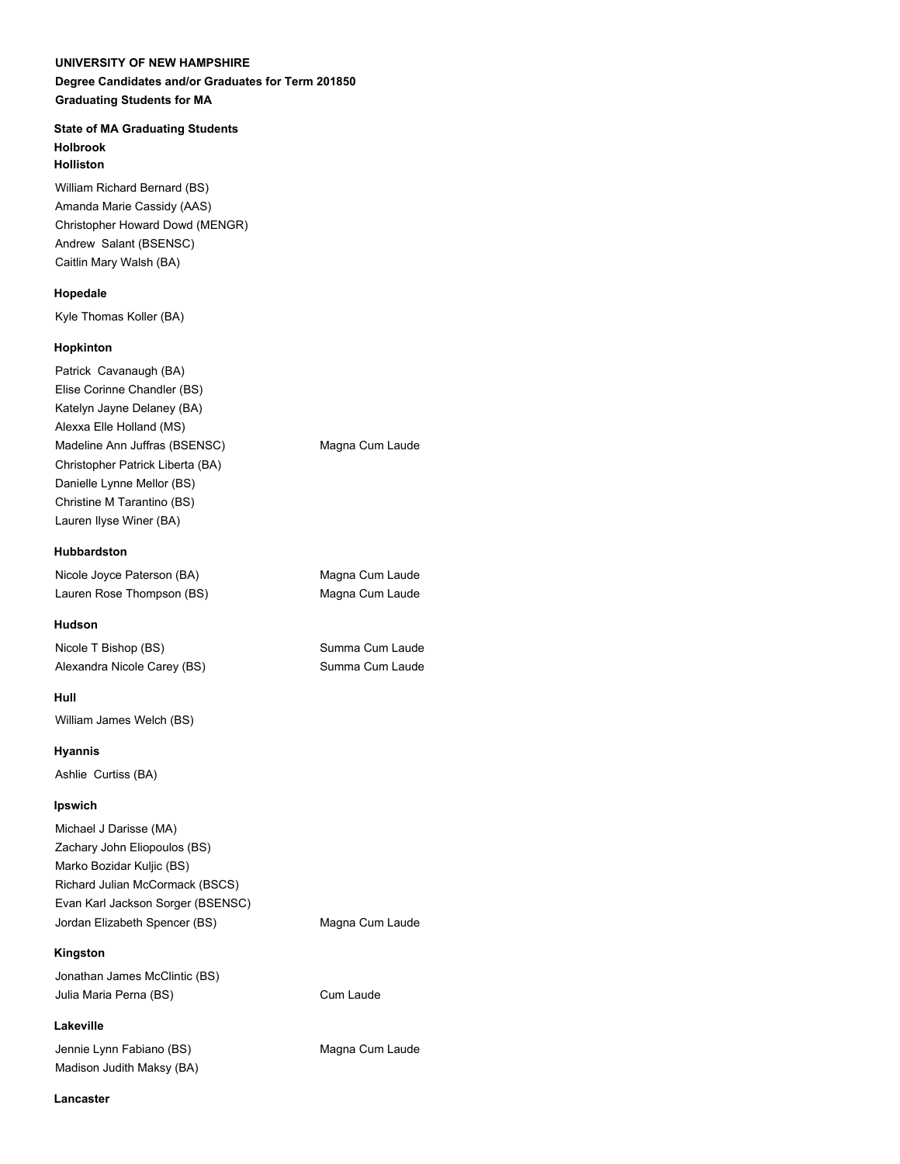#### **State of MA Graduating Students Holbrook Holliston**

William Richard Bernard (BS) Amanda Marie Cassidy (AAS) Christopher Howard Dowd (MENGR) Andrew Salant (BSENSC) Caitlin Mary Walsh (BA)

#### **Hopedale**

Kyle Thomas Koller (BA)

# **Hopkinton**

Patrick Cavanaugh (BA) Elise Corinne Chandler (BS) Katelyn Jayne Delaney (BA) Alexxa Elle Holland (MS) Madeline Ann Juffras (BSENSC) Magna Cum Laude Christopher Patrick Liberta (BA) Danielle Lynne Mellor (BS) Christine M Tarantino (BS) Lauren Ilyse Winer (BA)

# **Hubbardston**

Nicole Joyce Paterson (BA) Magna Cum Laude Lauren Rose Thompson (BS) Magna Cum Laude

# **Hudson**

Nicole T Bishop (BS) Summa Cum Laude Alexandra Nicole Carey (BS) Summa Cum Laude

# **Hull**

William James Welch (BS)

# **Hyannis**

Ashlie Curtiss (BA)

# **Ipswich**

Michael J Darisse (MA) Zachary John Eliopoulos (BS) Marko Bozidar Kuljic (BS) Richard Julian McCormack (BSCS) Evan Karl Jackson Sorger (BSENSC) Jordan Elizabeth Spencer (BS) Magna Cum Laude

# **Kingston**

Jonathan James McClintic (BS) Julia Maria Perna (BS) Cum Laude

**Lakeville** Jennie Lynn Fabiano (BS) Magna Cum Laude Madison Judith Maksy (BA)

**Lancaster**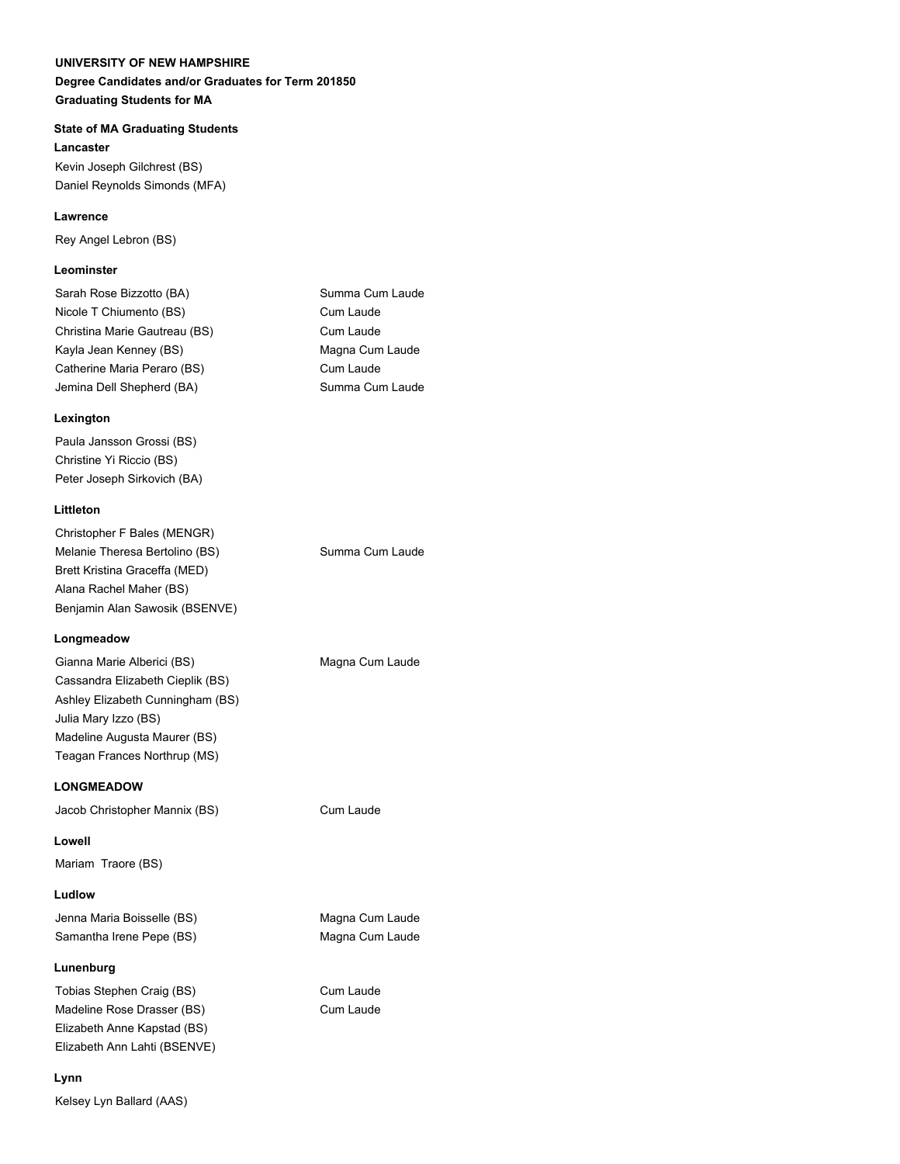# **UNIVERSITY OF NEW HAMPSHIRE Degree Candidates and/or Graduates for Term 201850**

**Graduating Students for MA**

#### **State of MA Graduating Students**

**Lancaster** Kevin Joseph Gilchrest (BS) Daniel Reynolds Simonds (MFA)

#### **Lawrence**

Rey Angel Lebron (BS)

#### **Leominster**

| Sarah Rose Bizzotto (BA)      | Summa Cum Laude |
|-------------------------------|-----------------|
| Nicole T Chiumento (BS)       | Cum Laude       |
| Christina Marie Gautreau (BS) | Cum Laude       |
| Kayla Jean Kenney (BS)        | Magna Cum Laude |
| Catherine Maria Peraro (BS)   | Cum Laude       |
| Jemina Dell Shepherd (BA)     | Summa Cum Laude |

#### **Lexington**

Paula Jansson Grossi (BS) Christine Yi Riccio (BS) Peter Joseph Sirkovich (BA)

### **Littleton**

| Christopher F Bales (MENGR)    |                 |
|--------------------------------|-----------------|
| Melanie Theresa Bertolino (BS) | Summa Cum Laude |
| Brett Kristina Graceffa (MED)  |                 |
| Alana Rachel Maher (BS)        |                 |
| Benjamin Alan Sawosik (BSENVE) |                 |
|                                |                 |

### **Longmeadow**

| Gianna Marie Alberici (BS)       | Magna Cum Laude |
|----------------------------------|-----------------|
| Cassandra Elizabeth Cieplik (BS) |                 |
| Ashley Elizabeth Cunningham (BS) |                 |
| Julia Mary Izzo (BS)             |                 |
| Madeline Augusta Maurer (BS)     |                 |
| Teagan Frances Northrup (MS)     |                 |

#### **LONGMEADOW**

Jacob Christopher Mannix (BS) Cum Laude

**Lowell** Mariam Traore (BS)

#### **Ludlow**

Jenna Maria Boisselle (BS) Magna Cum Laude Samantha Irene Pepe (BS) Magna Cum Laude

#### **Lunenburg**

Tobias Stephen Craig (BS) Cum Laude Madeline Rose Drasser (BS) Cum Laude Elizabeth Anne Kapstad (BS) Elizabeth Ann Lahti (BSENVE)

#### **Lynn**

Kelsey Lyn Ballard (AAS)

| Summa Cum Laude |
|-----------------|
| Cum Laude       |
| Cum Laude       |
| Magna Cum Laude |
| Cum Laude       |
| Summa Cum Laude |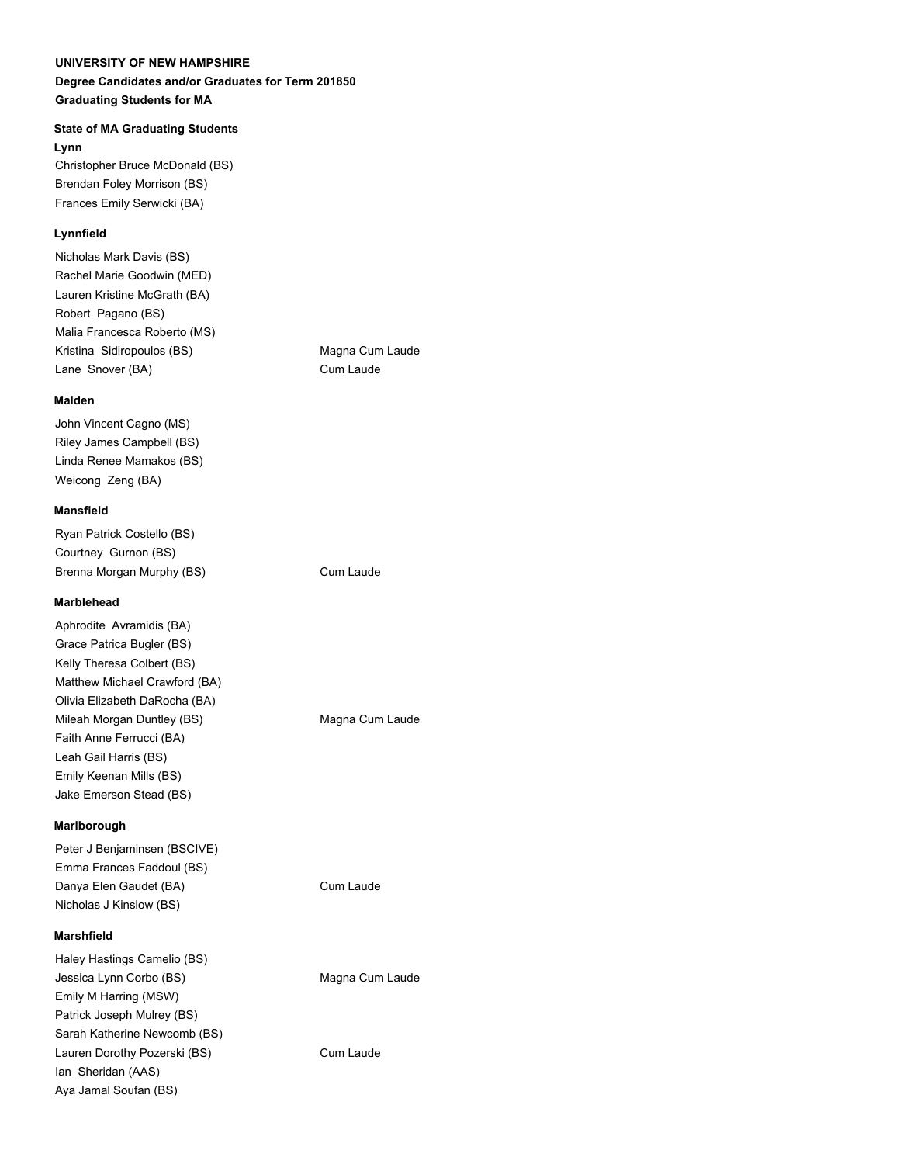### **Degree Candidates and/or Graduates for Term 201850 Graduating Students for MA**

# **State of MA Graduating Students**

**Lynn**

Christopher Bruce McDonald (BS) Brendan Foley Morrison (BS) Frances Emily Serwicki (BA)

# **Lynnfield**

Nicholas Mark Davis (BS) Rachel Marie Goodwin (MED) Lauren Kristine McGrath (BA) Robert Pagano (BS) Malia Francesca Roberto (MS) Kristina Sidiropoulos (BS) Magna Cum Laude Lane Snover (BA) Cum Laude

# **Malden**

John Vincent Cagno (MS) Riley James Campbell (BS) Linda Renee Mamakos (BS) Weicong Zeng (BA)

#### **Mansfield**

Ryan Patrick Costello (BS) Courtney Gurnon (BS) Brenna Morgan Murphy (BS) Cum Laude

#### **Marblehead**

Aphrodite Avramidis (BA) Grace Patrica Bugler (BS) Kelly Theresa Colbert (BS) Matthew Michael Crawford (BA) Olivia Elizabeth DaRocha (BA) Mileah Morgan Duntley (BS) Magna Cum Laude Faith Anne Ferrucci (BA) Leah Gail Harris (BS) Emily Keenan Mills (BS) Jake Emerson Stead (BS)

#### **Marlborough**

Peter J Benjaminsen (BSCIVE) Emma Frances Faddoul (BS) Danya Elen Gaudet (BA) Cum Laude Nicholas J Kinslow (BS)

#### **Marshfield**

Haley Hastings Camelio (BS) Jessica Lynn Corbo (BS) Magna Cum Laude Emily M Harring (MSW) Patrick Joseph Mulrey (BS) Sarah Katherine Newcomb (BS) Lauren Dorothy Pozerski (BS) Cum Laude Ian Sheridan (AAS) Aya Jamal Soufan (BS)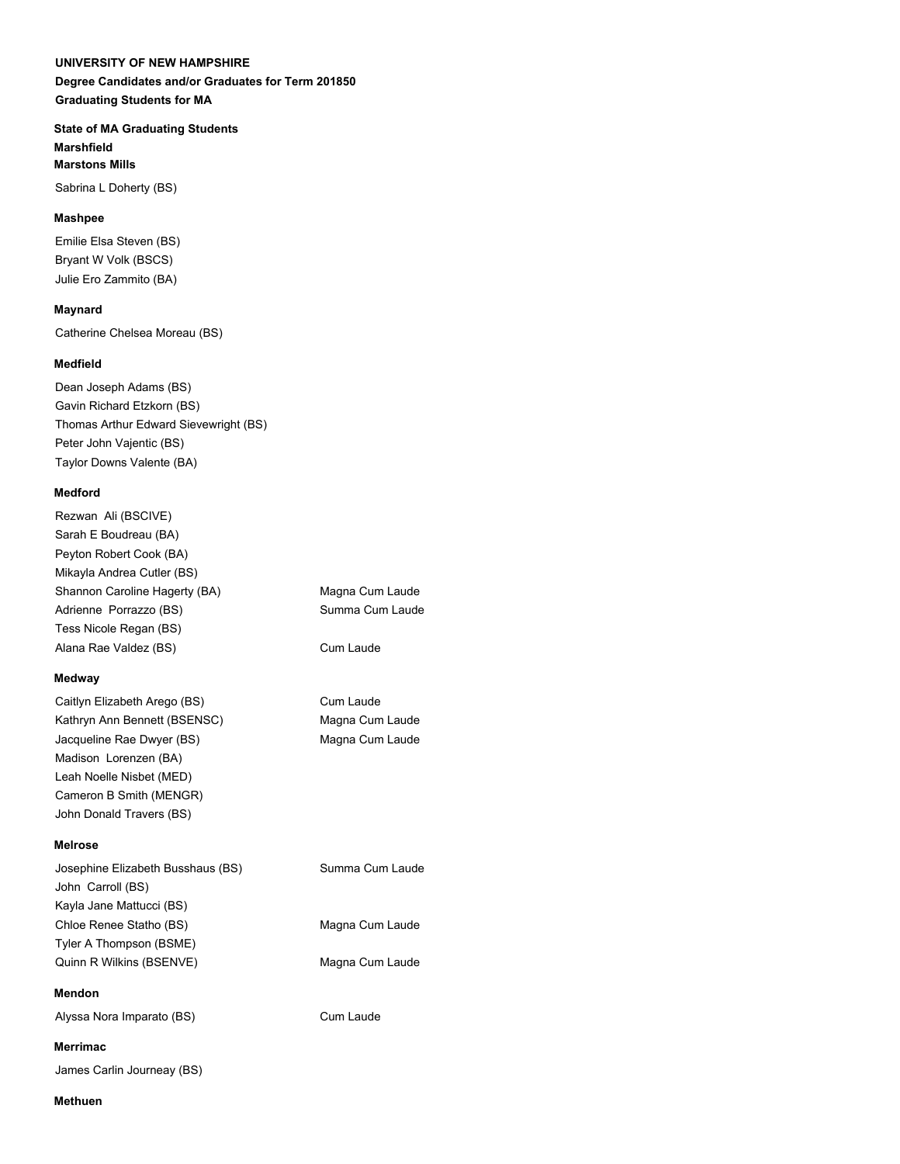**Degree Candidates and/or Graduates for Term 201850 Graduating Students for MA**

**State of MA Graduating Students Marshfield Marstons Mills**

Sabrina L Doherty (BS)

# **Mashpee**

Emilie Elsa Steven (BS) Bryant W Volk (BSCS) Julie Ero Zammito (BA)

# **Maynard**

Catherine Chelsea Moreau (BS)

# **Medfield**

Dean Joseph Adams (BS) Gavin Richard Etzkorn (BS) Thomas Arthur Edward Sievewright (BS) Peter John Vajentic (BS) Taylor Downs Valente (BA)

### **Medford**

Rezwan Ali (BSCIVE) Sarah E Boudreau (BA) Peyton Robert Cook (BA) Mikayla Andrea Cutler (BS) Shannon Caroline Hagerty (BA) Magna Cum Laude Adrienne Porrazzo (BS) Summa Cum Laude Tess Nicole Regan (BS) Alana Rae Valdez (BS) Cum Laude

# **Medway**

Caitlyn Elizabeth Arego (BS) Cum Laude Kathryn Ann Bennett (BSENSC) Magna Cum Laude Jacqueline Rae Dwyer (BS) Magna Cum Laude Madison Lorenzen (BA) Leah Noelle Nisbet (MED) Cameron B Smith (MENGR) John Donald Travers (BS)

# **Melrose**

| Josephine Elizabeth Busshaus (BS) | Summa Cum Laude |
|-----------------------------------|-----------------|
| John Carroll (BS)                 |                 |
| Kayla Jane Mattucci (BS)          |                 |
| Chloe Renee Statho (BS)           | Magna Cum Laude |
| Tyler A Thompson (BSME)           |                 |
| Quinn R Wilkins (BSENVE)          | Magna Cum Laude |
|                                   |                 |
| Mendon                            |                 |

Alyssa Nora Imparato (BS) Cum Laude

# **Merrimac**

James Carlin Journeay (BS)

#### **Methuen**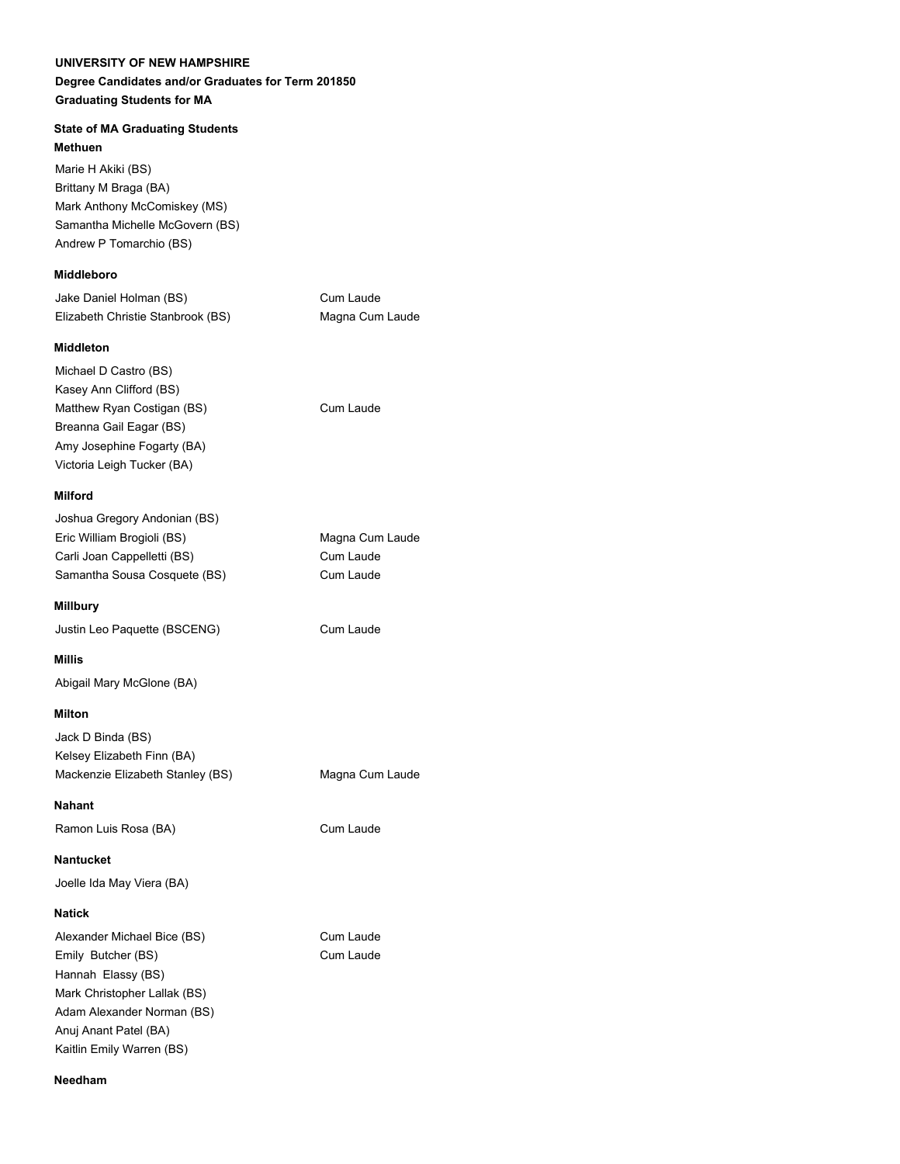# **Degree Candidates and/or Graduates for Term 201850 Graduating Students for MA**

# **State of MA Graduating Students**

**Methuen**

Marie H Akiki (BS) Brittany M Braga (BA) Mark Anthony McComiskey (MS) Samantha Michelle McGovern (BS) Andrew P Tomarchio (BS)

# **Middleboro**

| Jake Daniel Holman (BS)           | Cum Laude       |
|-----------------------------------|-----------------|
| Elizabeth Christie Stanbrook (BS) | Magna Cum Laude |

Cum Laude

# **Middleton**

| Michael D Castro (BS)      |  |
|----------------------------|--|
| Kasey Ann Clifford (BS)    |  |
| Matthew Ryan Costigan (BS) |  |
| Breanna Gail Eagar (BS)    |  |
| Amy Josephine Fogarty (BA) |  |
| Victoria Leigh Tucker (BA) |  |

### **Milford**

| Joshua Gregory Andonian (BS) |                 |
|------------------------------|-----------------|
| Eric William Brogioli (BS)   | Magna Cum Laude |
| Carli Joan Cappelletti (BS)  | Cum Laude       |
| Samantha Sousa Cosquete (BS) | Cum Laude       |
|                              |                 |

### **Millbury**

Justin Leo Paquette (BSCENG) Cum Laude

#### **Millis**

Abigail Mary McGlone (BA)

#### **Milton**

Jack D Binda (BS) Kelsey Elizabeth Finn (BA) Mackenzie Elizabeth Stanley (BS) Magna Cum Laude

**Nahant**

Ramon Luis Rosa (BA) Cum Laude

**Nantucket**

Joelle Ida May Viera (BA)

#### **Natick**

Alexander Michael Bice (BS) Cum Laude Emily Butcher (BS) Cum Laude Hannah Elassy (BS) Mark Christopher Lallak (BS) Adam Alexander Norman (BS) Anuj Anant Patel (BA) Kaitlin Emily Warren (BS)

**Needham**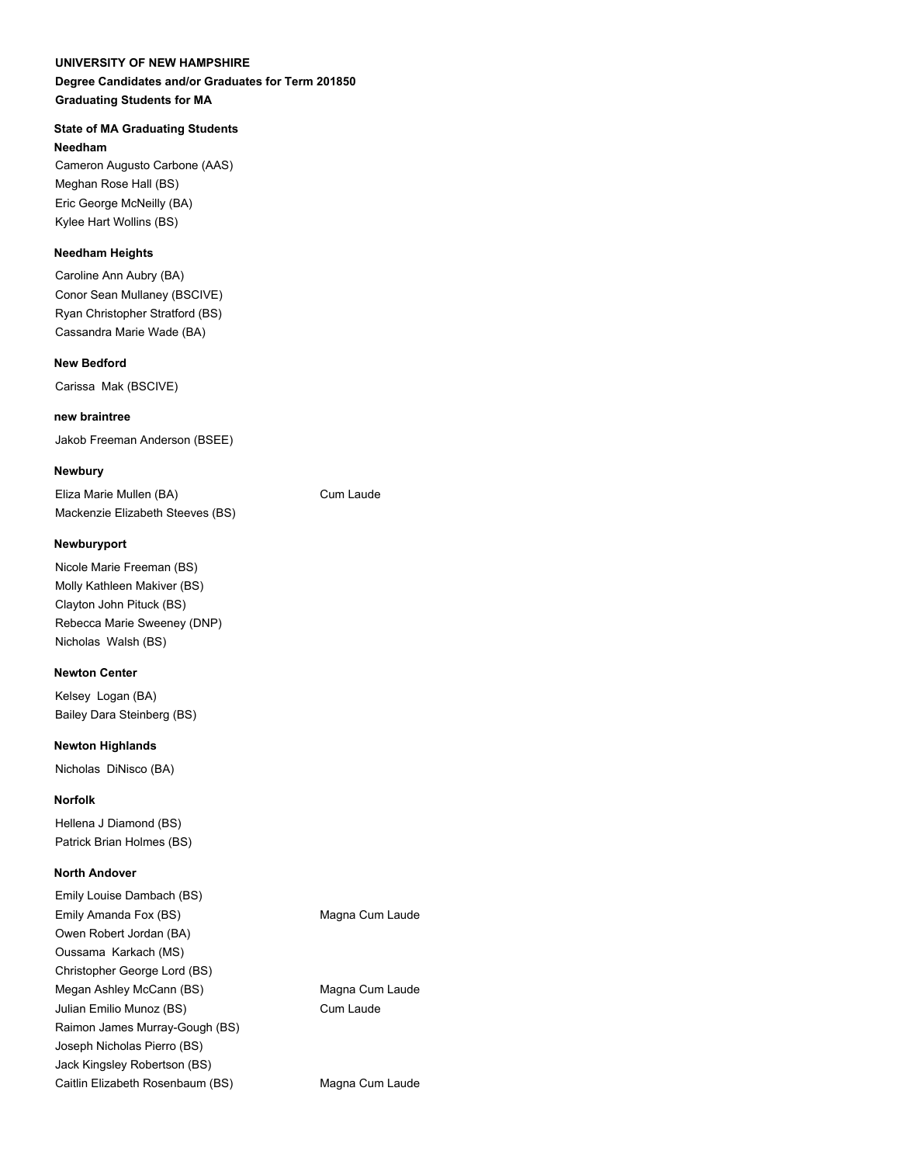# **Degree Candidates and/or Graduates for Term 201850 Graduating Students for MA**

# **State of MA Graduating Students**

**Needham**

Cameron Augusto Carbone (AAS) Meghan Rose Hall (BS) Eric George McNeilly (BA) Kylee Hart Wollins (BS)

# **Needham Heights**

Caroline Ann Aubry (BA) Conor Sean Mullaney (BSCIVE) Ryan Christopher Stratford (BS) Cassandra Marie Wade (BA)

# **New Bedford**

Carissa Mak (BSCIVE)

# **new braintree**

Jakob Freeman Anderson (BSEE)

# **Newbury**

Eliza Marie Mullen (BA) Cum Laude Mackenzie Elizabeth Steeves (BS)

#### **Newburyport**

Nicole Marie Freeman (BS) Molly Kathleen Makiver (BS) Clayton John Pituck (BS) Rebecca Marie Sweeney (DNP) Nicholas Walsh (BS)

#### **Newton Center**

Kelsey Logan (BA) Bailey Dara Steinberg (BS)

#### **Newton Highlands**

Nicholas DiNisco (BA)

# **Norfolk**

Hellena J Diamond (BS) Patrick Brian Holmes (BS)

### **North Andover**

Emily Louise Dambach (BS) Emily Amanda Fox (BS) Magna Cum Laude Owen Robert Jordan (BA) Oussama Karkach (MS) Christopher George Lord (BS) Megan Ashley McCann (BS) Magna Cum Laude Julian Emilio Munoz (BS) Cum Laude Raimon James Murray-Gough (BS) Joseph Nicholas Pierro (BS) Jack Kingsley Robertson (BS) Caitlin Elizabeth Rosenbaum (BS) Magna Cum Laude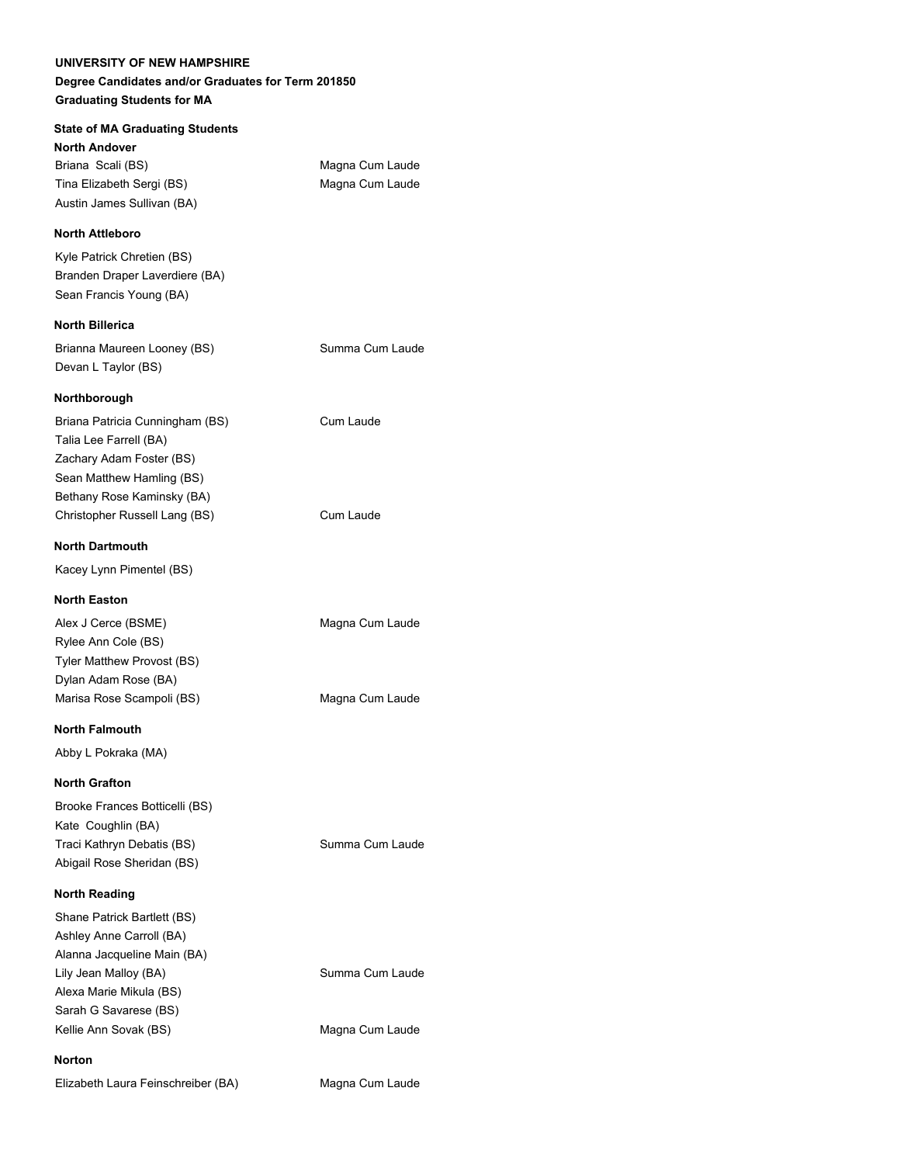# **State of MA Graduating Students North Andover** Briana Scali (BS) Magna Cum Laude Tina Elizabeth Sergi (BS) Magna Cum Laude Austin James Sullivan (BA) **North Attleboro** Kyle Patrick Chretien (BS) Branden Draper Laverdiere (BA) Sean Francis Young (BA) **North Billerica** Brianna Maureen Looney (BS) Summa Cum Laude Devan L Taylor (BS) **Northborough** Briana Patricia Cunningham (BS) Cum Laude Talia Lee Farrell (BA) Zachary Adam Foster (BS) Sean Matthew Hamling (BS) Bethany Rose Kaminsky (BA) Christopher Russell Lang (BS) Cum Laude **North Dartmouth** Kacey Lynn Pimentel (BS) **North Easton** Alex J Cerce (BSME) Magna Cum Laude Rylee Ann Cole (BS) Tyler Matthew Provost (BS) Dylan Adam Rose (BA) Marisa Rose Scampoli (BS) Magna Cum Laude **North Falmouth** Abby L Pokraka (MA) **North Grafton** Brooke Frances Botticelli (BS) Kate Coughlin (BA) Traci Kathryn Debatis (BS) Summa Cum Laude Abigail Rose Sheridan (BS) **North Reading** Shane Patrick Bartlett (BS) Ashley Anne Carroll (BA) Alanna Jacqueline Main (BA) Lily Jean Malloy (BA) Summa Cum Laude

Alexa Marie Mikula (BS) Sarah G Savarese (BS) Kellie Ann Sovak (BS) Magna Cum Laude

Elizabeth Laura Feinschreiber (BA) Magna Cum Laude

**Norton**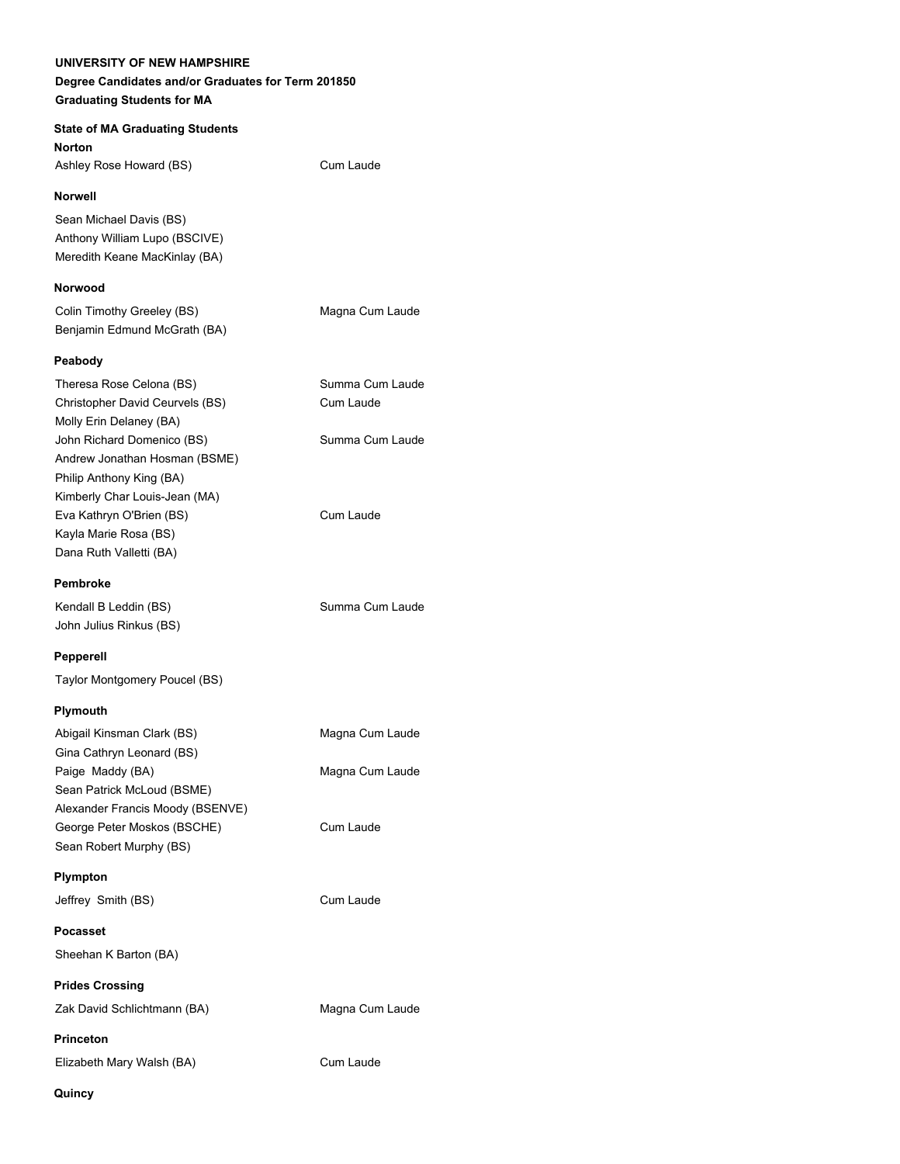**State of MA Graduating Students Norton** Ashley Rose Howard (BS) Cum Laude

#### **Norwell**

Sean Michael Davis (BS) Anthony William Lupo (BSCIVE) Meredith Keane MacKinlay (BA)

### **Norwood**

Colin Timothy Greeley (BS) Magna Cum Laude Benjamin Edmund McGrath (BA)

#### **Peabody**

| Theresa Rose Celona (BS)        | Summa Cum Laude |
|---------------------------------|-----------------|
| Christopher David Ceurvels (BS) | Cum Laude       |
| Molly Erin Delaney (BA)         |                 |
| John Richard Domenico (BS)      | Summa Cum Laude |
| Andrew Jonathan Hosman (BSME)   |                 |
| Philip Anthony King (BA)        |                 |
| Kimberly Char Louis-Jean (MA)   |                 |
| Eva Kathryn O'Brien (BS)        | Cum Laude       |
| Kayla Marie Rosa (BS)           |                 |
| Dana Ruth Valletti (BA)         |                 |
|                                 |                 |

### **Pembroke**

Kendall B Leddin (BS) Summa Cum Laude John Julius Rinkus (BS)

#### **Pepperell**

Taylor Montgomery Poucel (BS)

#### **Plymouth**

| Abigail Kinsman Clark (BS)       | Magna Cum Laude |
|----------------------------------|-----------------|
| Gina Cathryn Leonard (BS)        |                 |
| Paige Maddy (BA)                 | Magna Cum Laude |
| Sean Patrick McLoud (BSME)       |                 |
| Alexander Francis Moody (BSENVE) |                 |
| George Peter Moskos (BSCHE)      | Cum Laude       |
| Sean Robert Murphy (BS)          |                 |

#### **Plympton**

Jeffrey Smith (BS) Cum Laude

### **Pocasset**

Sheehan K Barton (BA)

**Prides Crossing**

Zak David Schlichtmann (BA) Magna Cum Laude

**Princeton**

Elizabeth Mary Walsh (BA) Cum Laude

#### **Quincy**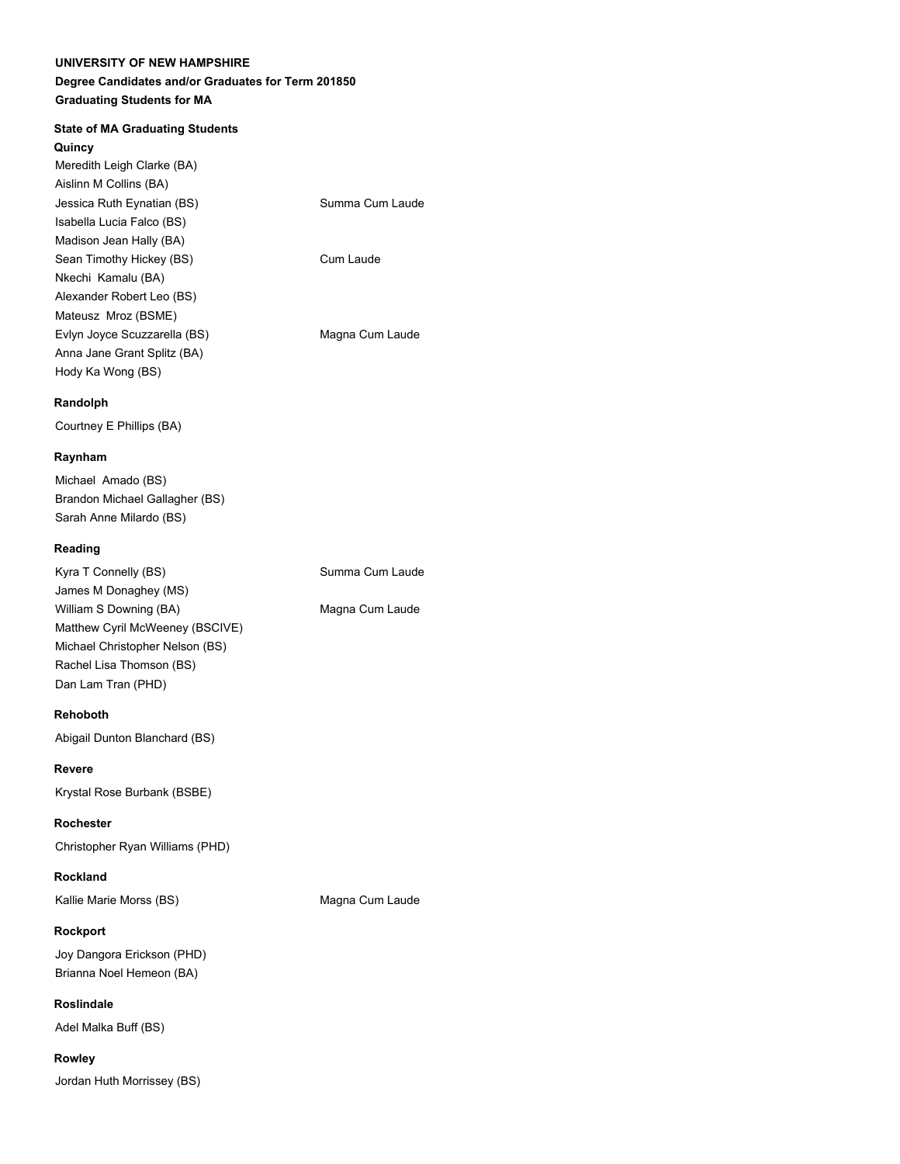# **Degree Candidates and/or Graduates for Term 201850 Graduating Students for MA**

### **State of MA Graduating Students**

#### **Quincy**

| Meredith Leigh Clarke (BA)   |                 |
|------------------------------|-----------------|
| Aislinn M Collins (BA)       |                 |
| Jessica Ruth Eynatian (BS)   | Summa Cum Laude |
| Isabella Lucia Falco (BS)    |                 |
| Madison Jean Hally (BA)      |                 |
| Sean Timothy Hickey (BS)     | Cum Laude       |
| Nkechi Kamalu (BA)           |                 |
| Alexander Robert Leo (BS)    |                 |
| Mateusz Mroz (BSME)          |                 |
| Evlyn Joyce Scuzzarella (BS) | Magna Cum Laude |
| Anna Jane Grant Splitz (BA)  |                 |
| Hody Ka Wong (BS)            |                 |
|                              |                 |

#### **Randolph**

Courtney E Phillips (BA)

#### **Raynham**

Michael Amado (BS) Brandon Michael Gallagher (BS) Sarah Anne Milardo (BS)

#### **Reading**

| Kyra T Connelly (BS)            | Summa Cum Laude |
|---------------------------------|-----------------|
| James M Donaghey (MS)           |                 |
| William S Downing (BA)          | Magna Cum Laude |
| Matthew Cyril McWeeney (BSCIVE) |                 |
| Michael Christopher Nelson (BS) |                 |
| Rachel Lisa Thomson (BS)        |                 |
| Dan Lam Tran (PHD)              |                 |

#### **Rehoboth**

Abigail Dunton Blanchard (BS)

#### **Revere**

Krystal Rose Burbank (BSBE)

**Rochester** Christopher Ryan Williams (PHD)

#### **Rockland**

Kallie Marie Morss (BS) Magna Cum Laude

**Rockport**

Joy Dangora Erickson (PHD) Brianna Noel Hemeon (BA)

**Roslindale** Adel Malka Buff (BS)

**Rowley** Jordan Huth Morrissey (BS)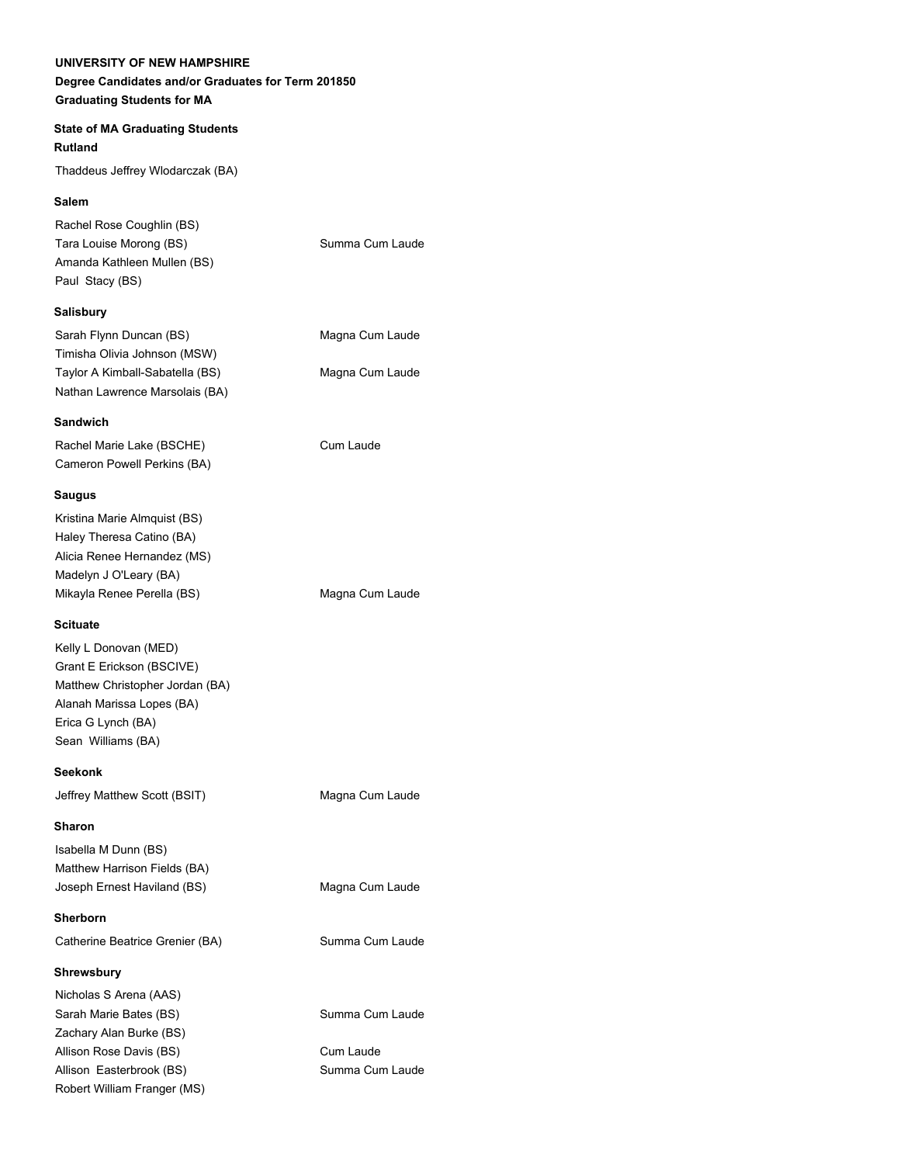# **Degree Candidates and/or Graduates for Term 201850 Graduating Students for MA**

### **State of MA Graduating Students Rutland**

Thaddeus Jeffrey Wlodarczak (BA)

# **Salem**

| Rachel Rose Coughlin (BS)   |                 |
|-----------------------------|-----------------|
| Tara Louise Morong (BS)     | Summa Cum Laude |
| Amanda Kathleen Mullen (BS) |                 |
| Paul Stacy (BS)             |                 |
|                             |                 |

# **Salisbury**

| Sarah Flynn Duncan (BS)         | Magna Cum Laude |
|---------------------------------|-----------------|
| Timisha Olivia Johnson (MSW)    |                 |
| Taylor A Kimball-Sabatella (BS) | Magna Cum Laude |
| Nathan Lawrence Marsolais (BA)  |                 |

### **Sandwich**

Rachel Marie Lake (BSCHE) Cum Laude Cameron Powell Perkins (BA)

### **Saugus**

| Kristina Marie Almquist (BS) |                 |
|------------------------------|-----------------|
| Haley Theresa Catino (BA)    |                 |
| Alicia Renee Hernandez (MS)  |                 |
| Madelyn J O'Leary (BA)       |                 |
| Mikayla Renee Perella (BS)   | Magna Cum Laude |

# **Scituate**

Kelly L Donovan (MED) Grant E Erickson (BSCIVE) Matthew Christopher Jordan (BA) Alanah Marissa Lopes (BA) Erica G Lynch (BA) Sean Williams (BA)

**Seekonk**

**Sharon** Isabella M Dunn (BS) Matthew Harrison Fields (BA) Joseph Ernest Haviland (BS) Magna Cum Laude

**Sherborn**

Catherine Beatrice Grenier (BA) Summa Cum Laude

# **Shrewsbury**

Nicholas S Arena (AAS) Sarah Marie Bates (BS) Summa Cum Laude Zachary Alan Burke (BS) Allison Rose Davis (BS) Cum Laude Allison Easterbrook (BS) Summa Cum Laude Robert William Franger (MS)

Jeffrey Matthew Scott (BSIT) Magna Cum Laude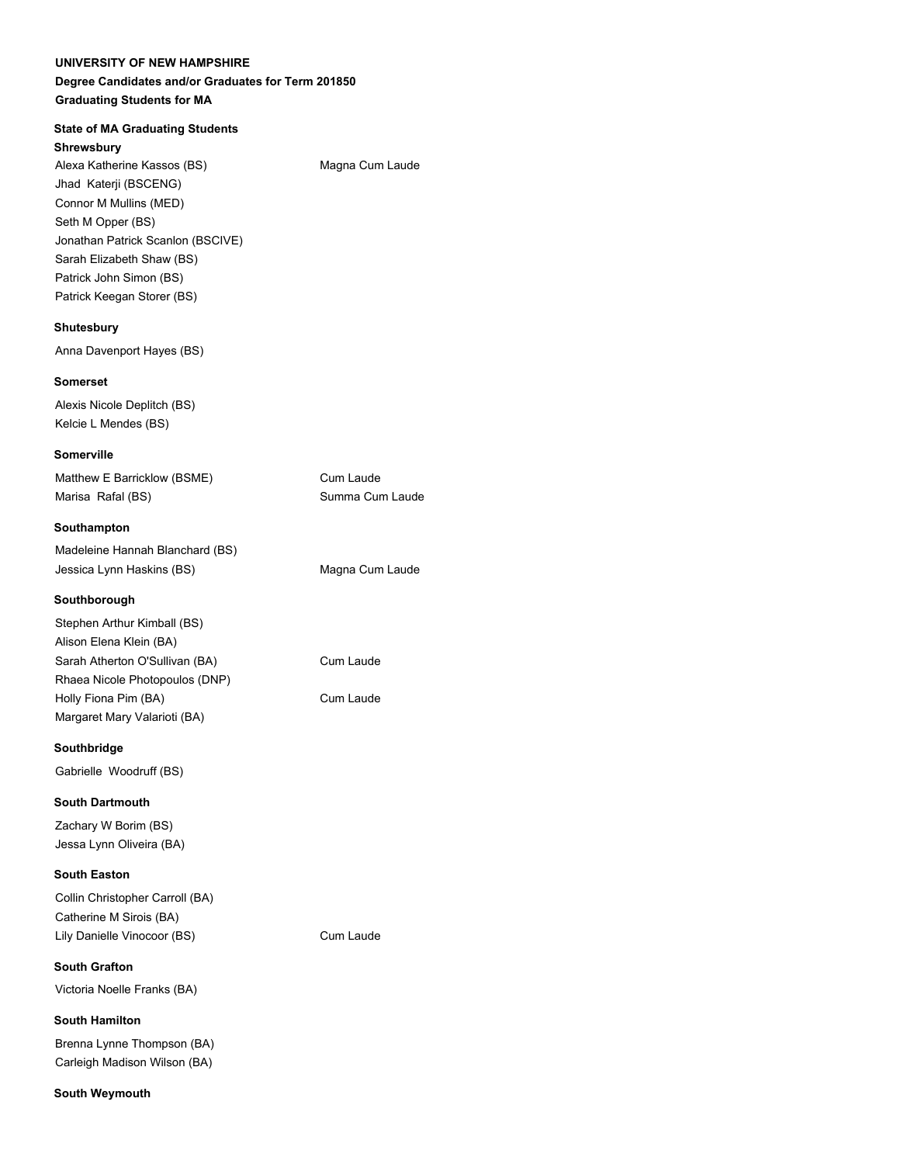# **Degree Candidates and/or Graduates for Term 201850 Graduating Students for MA**

# **State of MA Graduating Students**

**Shrewsbury** Alexa Katherine Kassos (BS) Magna Cum Laude Jhad Katerji (BSCENG) Connor M Mullins (MED) Seth M Opper (BS) Jonathan Patrick Scanlon (BSCIVE) Sarah Elizabeth Shaw (BS) Patrick John Simon (BS) Patrick Keegan Storer (BS)

### **Shutesbury**

Anna Davenport Hayes (BS)

#### **Somerset**

Alexis Nicole Deplitch (BS) Kelcie L Mendes (BS)

#### **Somerville**

| Matthew E Barricklow (BSME) | Cum Laude       |
|-----------------------------|-----------------|
| Marisa Rafal (BS)           | Summa Cum Laude |

#### **Southampton**

| Madeleine Hannah Blanchard (BS) |                 |
|---------------------------------|-----------------|
| Jessica Lynn Haskins (BS)       | Magna Cum Laude |

### **Southborough**

| Stephen Arthur Kimball (BS)    |           |
|--------------------------------|-----------|
| Alison Elena Klein (BA)        |           |
| Sarah Atherton O'Sullivan (BA) | Cum Laude |
| Rhaea Nicole Photopoulos (DNP) |           |
| Holly Fiona Pim (BA)           | Cum Laude |
| Margaret Mary Valarioti (BA)   |           |

Cum Laude

#### **Southbridge**

Gabrielle Woodruff (BS)

#### **South Dartmouth**

Zachary W Borim (BS) Jessa Lynn Oliveira (BA)

### **South Easton**

| Collin Christopher Carroll (BA) |
|---------------------------------|
| Catherine M Sirois (BA)         |
| Lily Danielle Vinocoor (BS)     |

**South Grafton** Victoria Noelle Franks (BA)

# **South Hamilton** Brenna Lynne Thompson (BA) Carleigh Madison Wilson (BA)

**South Weymouth**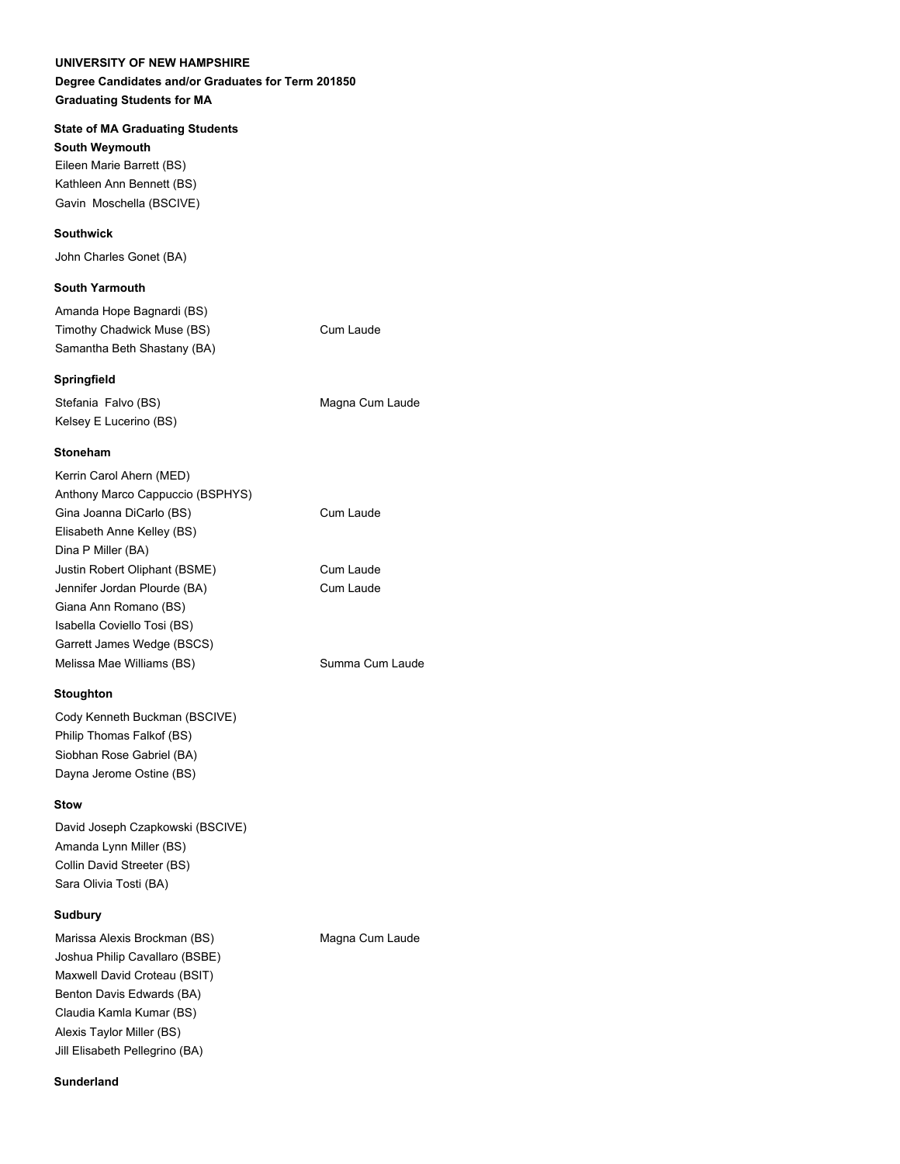### **Degree Candidates and/or Graduates for Term 201850 Graduating Students for MA**

#### **State of MA Graduating Students**

**South Weymouth** Eileen Marie Barrett (BS) Kathleen Ann Bennett (BS) Gavin Moschella (BSCIVE)

### **Southwick**

John Charles Gonet (BA)

#### **South Yarmouth**

| Amanda Hope Bagnardi (BS)   |  |
|-----------------------------|--|
| Timothy Chadwick Muse (BS)  |  |
| Samantha Beth Shastany (BA) |  |

#### **Springfield**

Stefania Falvo (BS) Magna Cum Laude Kelsey E Lucerino (BS)

Cum Laude

#### **Stoneham**

| Kerrin Carol Ahern (MED)         |                 |
|----------------------------------|-----------------|
| Anthony Marco Cappuccio (BSPHYS) |                 |
| Gina Joanna DiCarlo (BS)         | Cum Laude       |
| Elisabeth Anne Kelley (BS)       |                 |
| Dina P Miller (BA)               |                 |
| Justin Robert Oliphant (BSME)    | Cum Laude       |
| Jennifer Jordan Plourde (BA)     | Cum Laude       |
| Giana Ann Romano (BS)            |                 |
| Isabella Coviello Tosi (BS)      |                 |
| Garrett James Wedge (BSCS)       |                 |
| Melissa Mae Williams (BS)        | Summa Cum Laude |
|                                  |                 |

#### **Stoughton**

Cody Kenneth Buckman (BSCIVE) Philip Thomas Falkof (BS) Siobhan Rose Gabriel (BA) Dayna Jerome Ostine (BS)

#### **Stow**

David Joseph Czapkowski (BSCIVE) Amanda Lynn Miller (BS) Collin David Streeter (BS) Sara Olivia Tosti (BA)

#### **Sudbury**

Marissa Alexis Brockman (BS) Magna Cum Laude Joshua Philip Cavallaro (BSBE) Maxwell David Croteau (BSIT) Benton Davis Edwards (BA) Claudia Kamla Kumar (BS) Alexis Taylor Miller (BS) Jill Elisabeth Pellegrino (BA)

#### **Sunderland**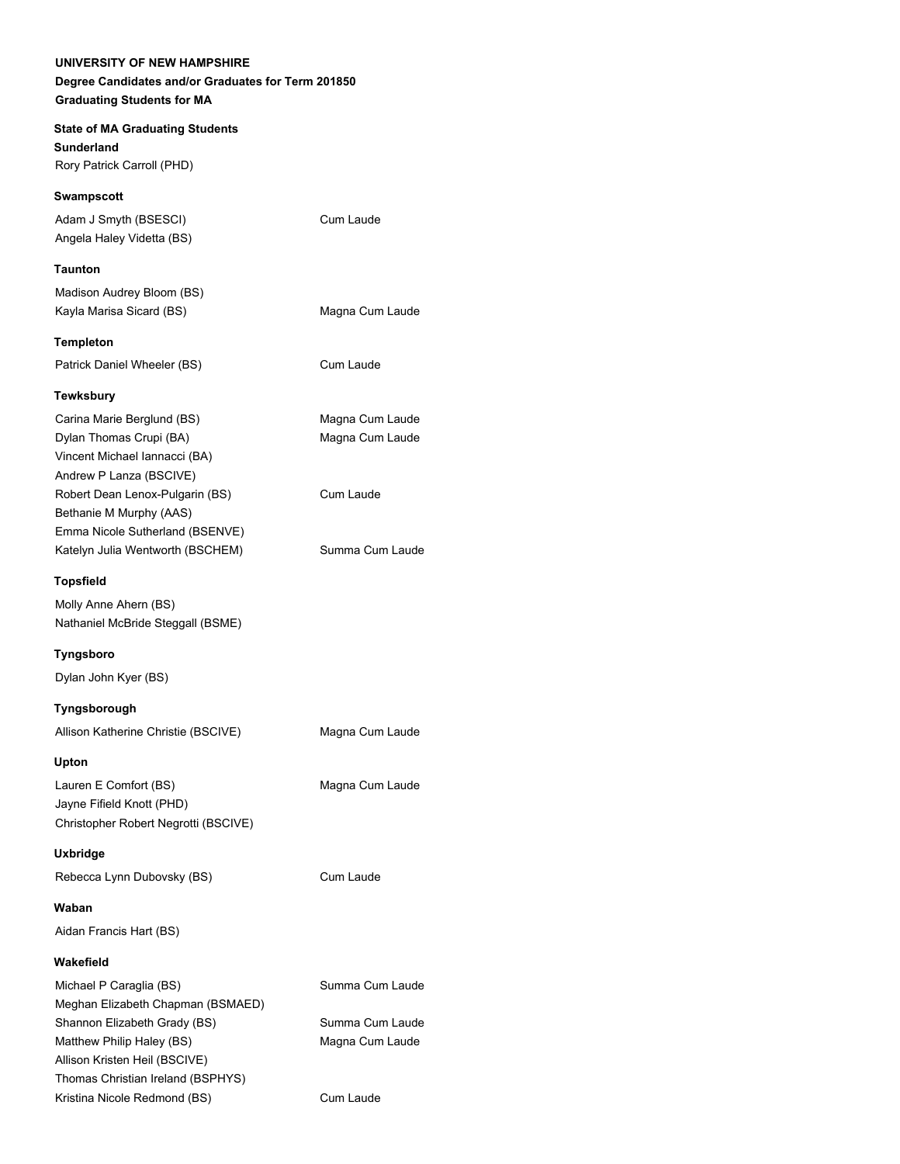**State of MA Graduating Students Sunderland** Rory Patrick Carroll (PHD)

**Swampscott** Adam J Smyth (BSESCI) Cum Laude Angela Haley Videtta (BS)

**Taunton**

Madison Audrey Bloom (BS) Kayla Marisa Sicard (BS) Magna Cum Laude

**Templeton** Patrick Daniel Wheeler (BS) Cum Laude

# **Tewksbury**

Carina Marie Berglund (BS) Magna Cum Laude Dylan Thomas Crupi (BA) Magna Cum Laude Vincent Michael Iannacci (BA) Andrew P Lanza (BSCIVE) Robert Dean Lenox-Pulgarin (BS) Cum Laude Bethanie M Murphy (AAS) Emma Nicole Sutherland (BSENVE) Katelyn Julia Wentworth (BSCHEM) Summa Cum Laude

# **Topsfield**

Molly Anne Ahern (BS) Nathaniel McBride Steggall (BSME)

**Tyngsboro**

Dylan John Kyer (BS)

#### **Tyngsborough**

Allison Katherine Christie (BSCIVE) Magna Cum Laude

**Upton**

Lauren E Comfort (BS) Magna Cum Laude Jayne Fifield Knott (PHD) Christopher Robert Negrotti (BSCIVE)

**Uxbridge**

Rebecca Lynn Dubovsky (BS) Cum Laude

**Waban**

Aidan Francis Hart (BS)

### **Wakefield**

Michael P Caraglia (BS) Summa Cum Laude Meghan Elizabeth Chapman (BSMAED) Shannon Elizabeth Grady (BS) Summa Cum Laude Matthew Philip Haley (BS) Magna Cum Laude Allison Kristen Heil (BSCIVE) Thomas Christian Ireland (BSPHYS) Kristina Nicole Redmond (BS) Cum Laude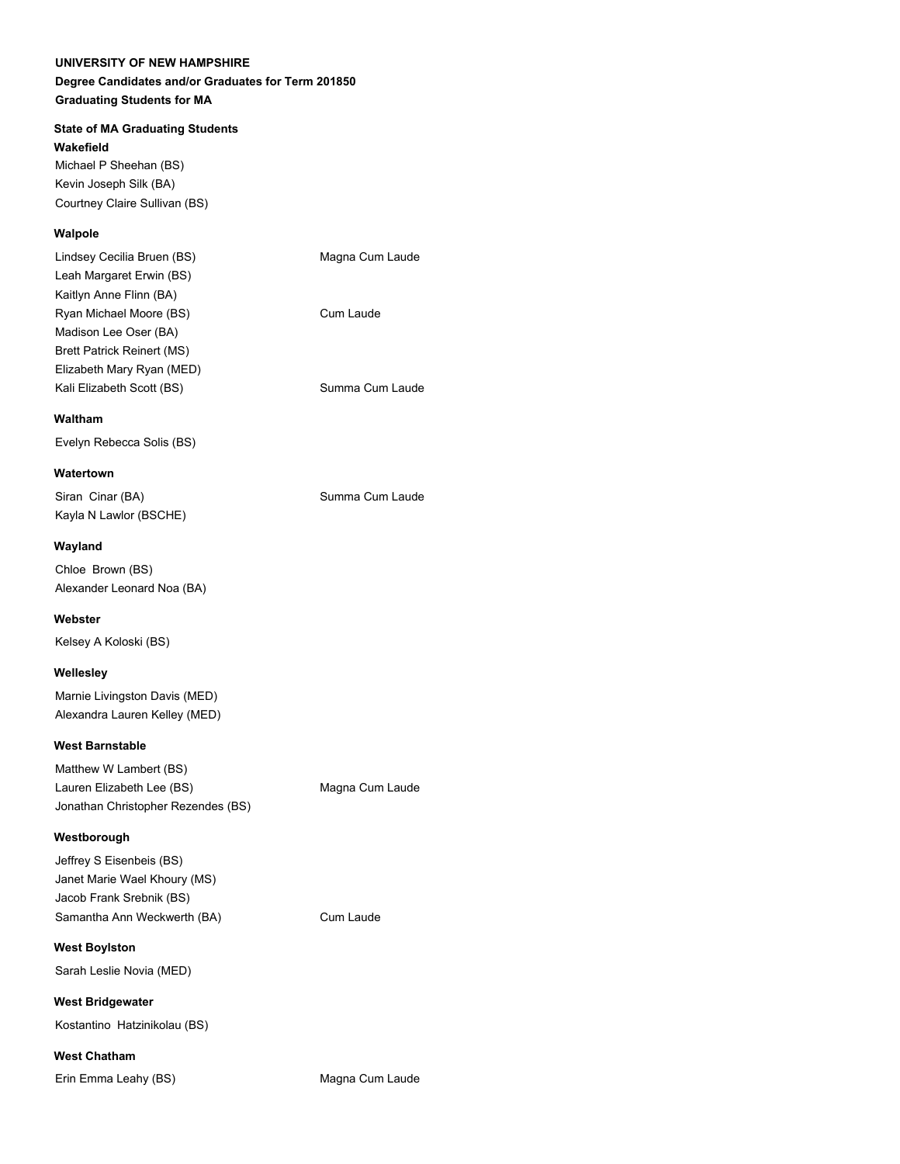### **Degree Candidates and/or Graduates for Term 201850 Graduating Students for MA**

# **State of MA Graduating Students**

**Wakefield**

Michael P Sheehan (BS) Kevin Joseph Silk (BA) Courtney Claire Sullivan (BS)

# **Walpole**

| Lindsey Cecilia Bruen (BS) | Magna Cum Laude |
|----------------------------|-----------------|
| Leah Margaret Erwin (BS)   |                 |
| Kaitlyn Anne Flinn (BA)    |                 |
| Ryan Michael Moore (BS)    | Cum Laude       |
| Madison Lee Oser (BA)      |                 |
| Brett Patrick Reinert (MS) |                 |
| Elizabeth Mary Ryan (MED)  |                 |
| Kali Elizabeth Scott (BS)  | Summa Cum Laude |
|                            |                 |

#### **Waltham**

Evelyn Rebecca Solis (BS)

**Watertown** Siran Cinar (BA) Siran Summa Cum Laude Kayla N Lawlor (BSCHE)

#### **Wayland**

Chloe Brown (BS) Alexander Leonard Noa (BA)

#### **Webster**

Kelsey A Koloski (BS)

### **Wellesley**

Marnie Livingston Davis (MED) Alexandra Lauren Kelley (MED)

#### **West Barnstable**

Matthew W Lambert (BS) Lauren Elizabeth Lee (BS) Magna Cum Laude Jonathan Christopher Rezendes (BS)

#### **Westborough**

Jeffrey S Eisenbeis (BS) Janet Marie Wael Khoury (MS) Jacob Frank Srebnik (BS) Samantha Ann Weckwerth (BA) Cum Laude

#### **West Boylston**

Sarah Leslie Novia (MED)

**West Bridgewater** Kostantino Hatzinikolau (BS)

**West Chatham**

Erin Emma Leahy (BS) Magna Cum Laude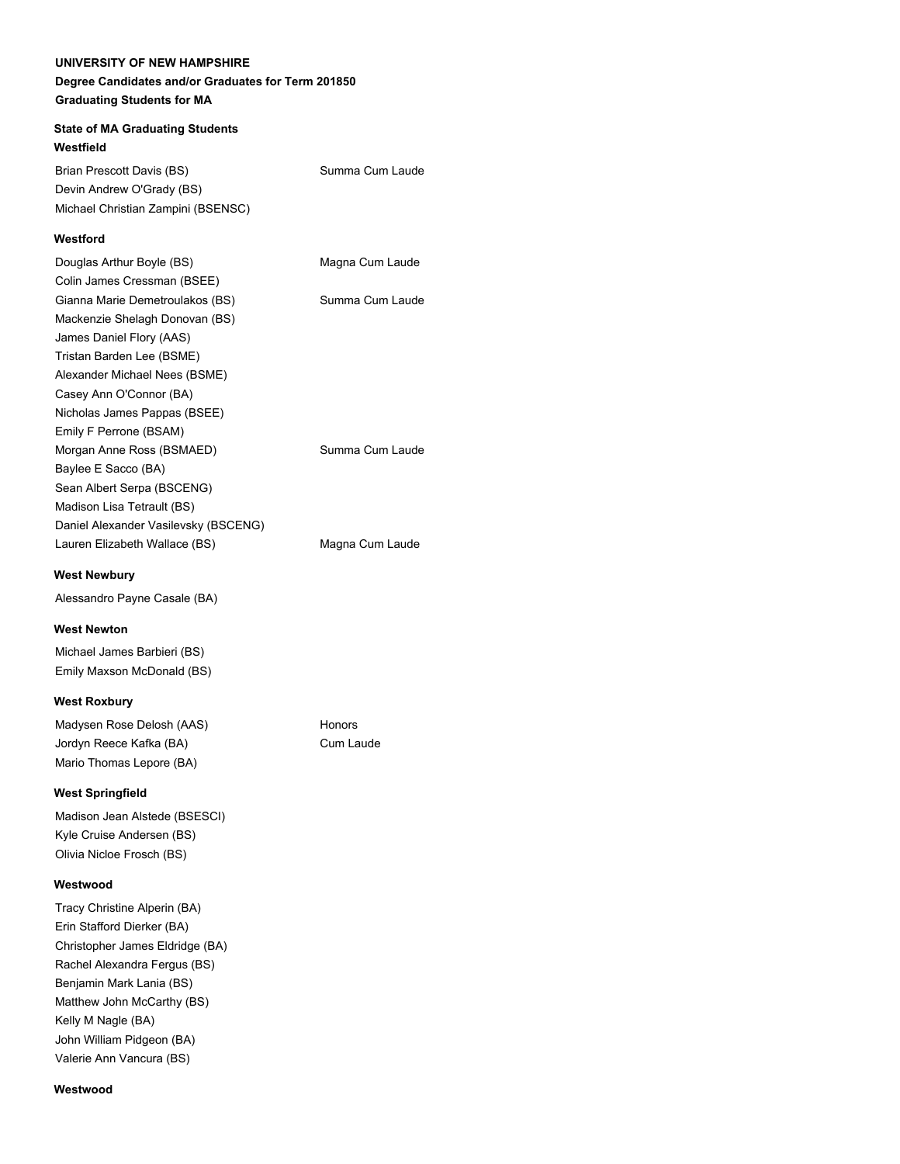# **Degree Candidates and/or Graduates for Term 201850 Graduating Students for MA**

# **State of MA Graduating Students Westfield**

Brian Prescott Davis (BS) Summa Cum Laude Devin Andrew O'Grady (BS) Michael Christian Zampini (BSENSC)

# **Westford**

| Douglas Arthur Boyle (BS)            | Magna Cum Laude |
|--------------------------------------|-----------------|
| Colin James Cressman (BSEE)          |                 |
| Gianna Marie Demetroulakos (BS)      | Summa Cum Laude |
| Mackenzie Shelagh Donovan (BS)       |                 |
| James Daniel Flory (AAS)             |                 |
| Tristan Barden Lee (BSME)            |                 |
| Alexander Michael Nees (BSME)        |                 |
| Casey Ann O'Connor (BA)              |                 |
| Nicholas James Pappas (BSEE)         |                 |
| Emily F Perrone (BSAM)               |                 |
| Morgan Anne Ross (BSMAED)            | Summa Cum Laude |
| Baylee E Sacco (BA)                  |                 |
| Sean Albert Serpa (BSCENG)           |                 |
| Madison Lisa Tetrault (BS)           |                 |
| Daniel Alexander Vasilevsky (BSCENG) |                 |
| Lauren Elizabeth Wallace (BS)        | Magna Cum Laude |
|                                      |                 |

# **West Newbury**

Alessandro Payne Casale (BA)

# **West Newton**

Michael James Barbieri (BS) Emily Maxson McDonald (BS)

# **West Roxbury**

Madysen Rose Delosh (AAS) Honors Jordyn Reece Kafka (BA) Cum Laude Mario Thomas Lepore (BA)

# **West Springfield**

Madison Jean Alstede (BSESCI) Kyle Cruise Andersen (BS) Olivia Nicloe Frosch (BS)

# **Westwood**

Tracy Christine Alperin (BA) Erin Stafford Dierker (BA) Christopher James Eldridge (BA) Rachel Alexandra Fergus (BS) Benjamin Mark Lania (BS) Matthew John McCarthy (BS) Kelly M Nagle (BA) John William Pidgeon (BA) Valerie Ann Vancura (BS)

### **Westwood**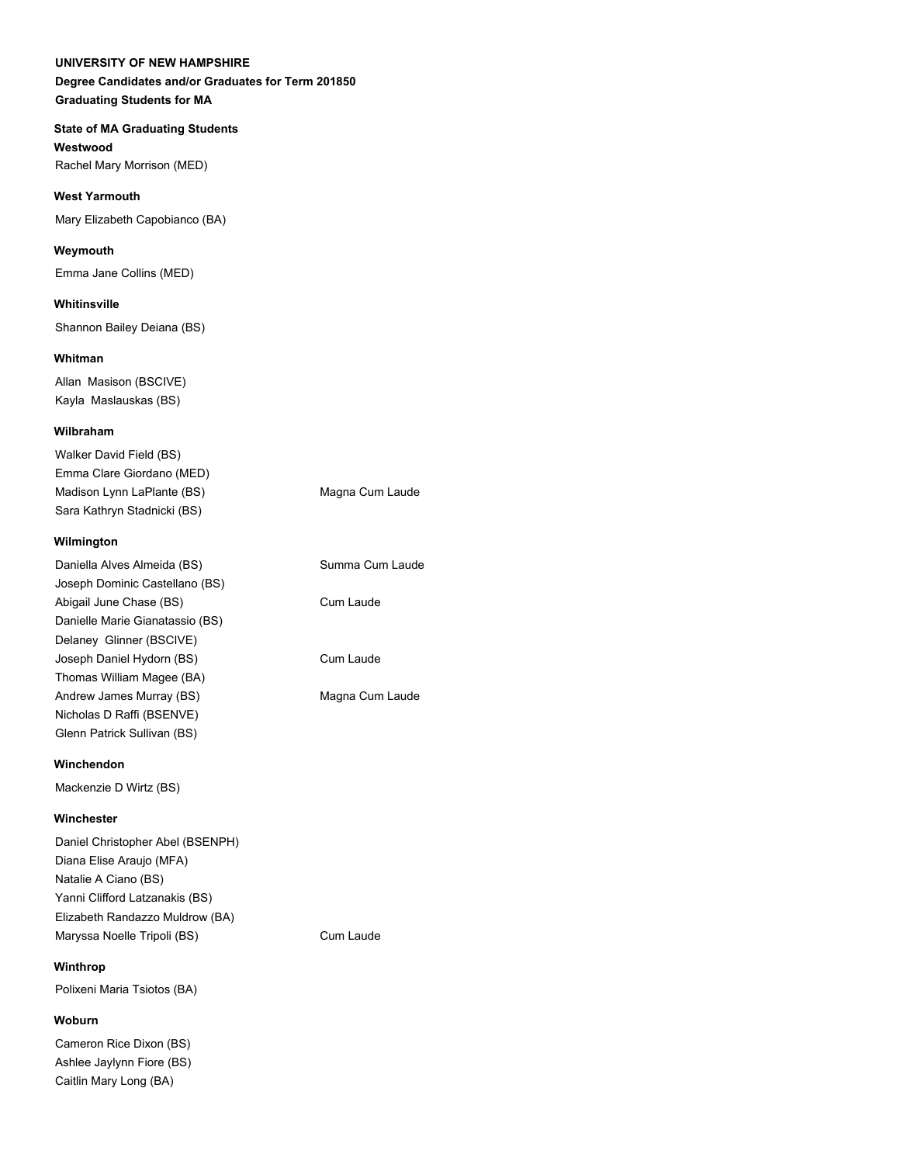# **Degree Candidates and/or Graduates for Term 201850 Graduating Students for MA**

# **State of MA Graduating Students**

**Westwood**  Rachel Mary Morrison (MED)

#### **West Yarmouth**

Mary Elizabeth Capobianco (BA)

#### **Weymouth**

Emma Jane Collins (MED)

#### **Whitinsville**

Shannon Bailey Deiana (BS)

#### **Whitman**

Allan Masison (BSCIVE) Kayla Maslauskas (BS)

#### **Wilbraham**

| Walker David Field (BS)     |                 |
|-----------------------------|-----------------|
| Emma Clare Giordano (MED)   |                 |
| Madison Lynn LaPlante (BS)  | Magna Cum Laude |
| Sara Kathryn Stadnicki (BS) |                 |

### **Wilmington**

| Daniella Alves Almeida (BS)     | Summa Cum Laude |
|---------------------------------|-----------------|
| Joseph Dominic Castellano (BS)  |                 |
| Abigail June Chase (BS)         | Cum Laude       |
| Danielle Marie Gianatassio (BS) |                 |
| Delaney Glinner (BSCIVE)        |                 |
| Joseph Daniel Hydorn (BS)       | Cum Laude       |
| Thomas William Magee (BA)       |                 |
| Andrew James Murray (BS)        | Magna Cum Laude |
| Nicholas D Raffi (BSENVE)       |                 |
| Glenn Patrick Sullivan (BS)     |                 |
|                                 |                 |

### **Winchendon**

Mackenzie D Wirtz (BS)

#### **Winchester**

Daniel Christopher Abel (BSENPH) Diana Elise Araujo (MFA) Natalie A Ciano (BS) Yanni Clifford Latzanakis (BS) Elizabeth Randazzo Muldrow (BA) Maryssa Noelle Tripoli (BS) Cum Laude

# **Winthrop**

Polixeni Maria Tsiotos (BA)

### **Woburn**

Cameron Rice Dixon (BS) Ashlee Jaylynn Fiore (BS) Caitlin Mary Long (BA)